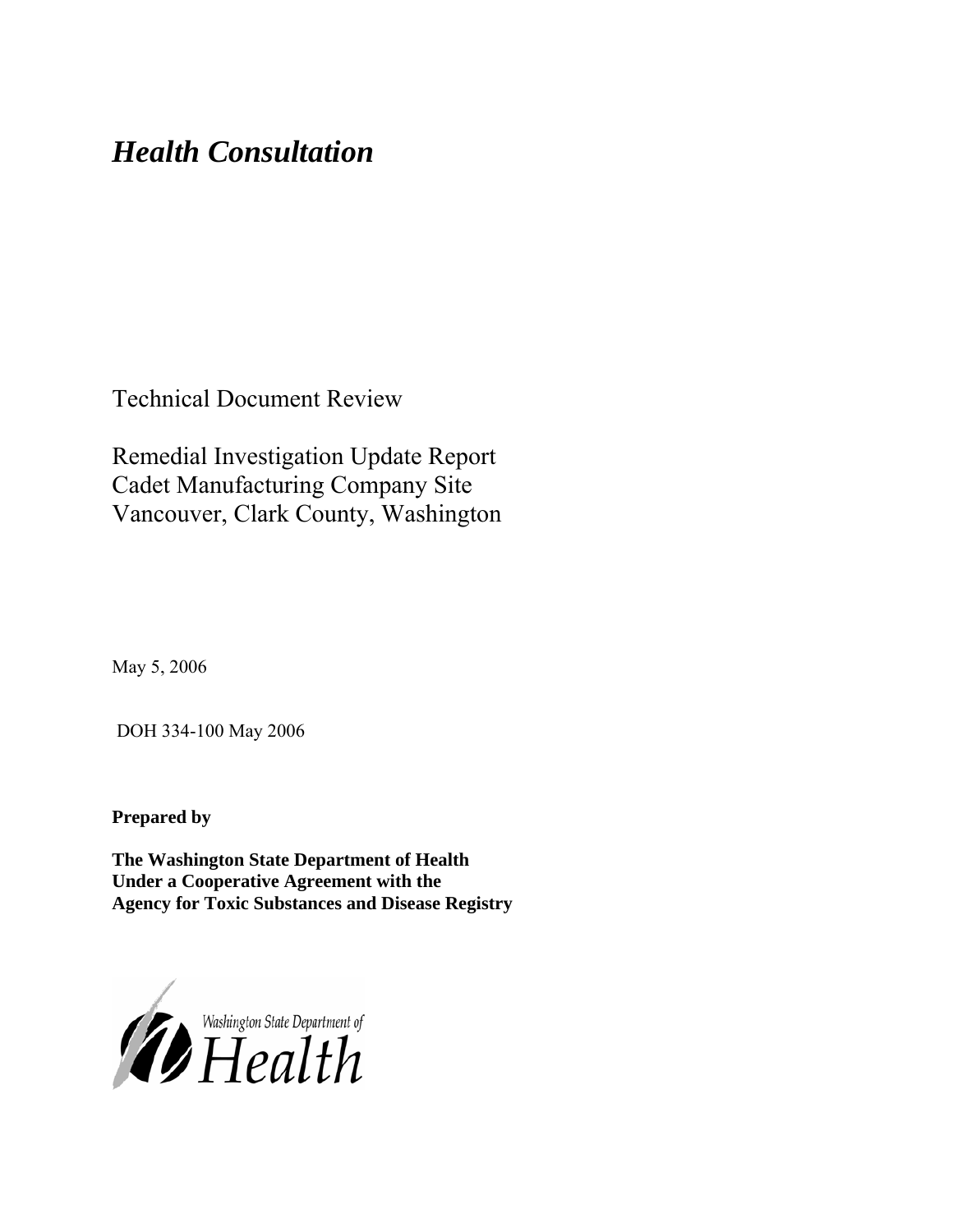# *Health Consultation*

Technical Document Review

Remedial Investigation Update Report Cadet Manufacturing Company Site Vancouver, Clark County, Washington

May 5, 2006

DOH 334-100 May 2006

**Prepared by** 

**The Washington State Department of Health Under a Cooperative Agreement with the Agency for Toxic Substances and Disease Registry**

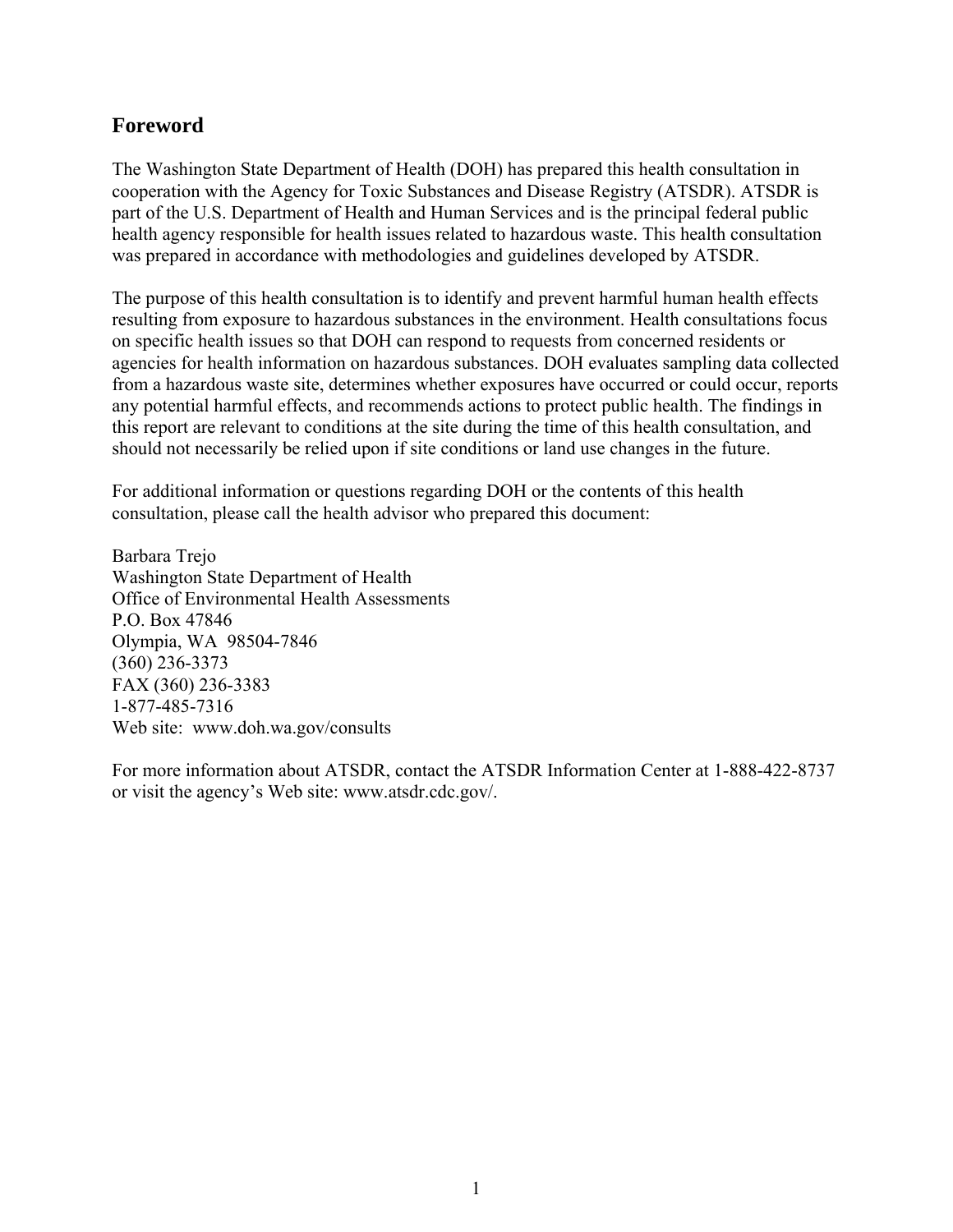## **Foreword**

The Washington State Department of Health (DOH) has prepared this health consultation in cooperation with the Agency for Toxic Substances and Disease Registry (ATSDR). ATSDR is part of the U.S. Department of Health and Human Services and is the principal federal public health agency responsible for health issues related to hazardous waste. This health consultation was prepared in accordance with methodologies and guidelines developed by ATSDR.

The purpose of this health consultation is to identify and prevent harmful human health effects resulting from exposure to hazardous substances in the environment. Health consultations focus on specific health issues so that DOH can respond to requests from concerned residents or agencies for health information on hazardous substances. DOH evaluates sampling data collected from a hazardous waste site, determines whether exposures have occurred or could occur, reports any potential harmful effects, and recommends actions to protect public health. The findings in this report are relevant to conditions at the site during the time of this health consultation, and should not necessarily be relied upon if site conditions or land use changes in the future.

For additional information or questions regarding DOH or the contents of this health consultation, please call the health advisor who prepared this document:

Barbara Trejo Washington State Department of Health Office of Environmental Health Assessments P.O. Box 47846 Olympia, WA 98504-7846 (360) 236-3373 FAX (360) 236-3383 1-877-485-7316 Web site: [www.doh.wa.gov/](www.doh.wa.gov/consults)consults

For more information about ATSDR, contact the ATSDR Information Center at 1-888-422-8737 or visit the agency's Web site: www.atsdr.cdc.gov/.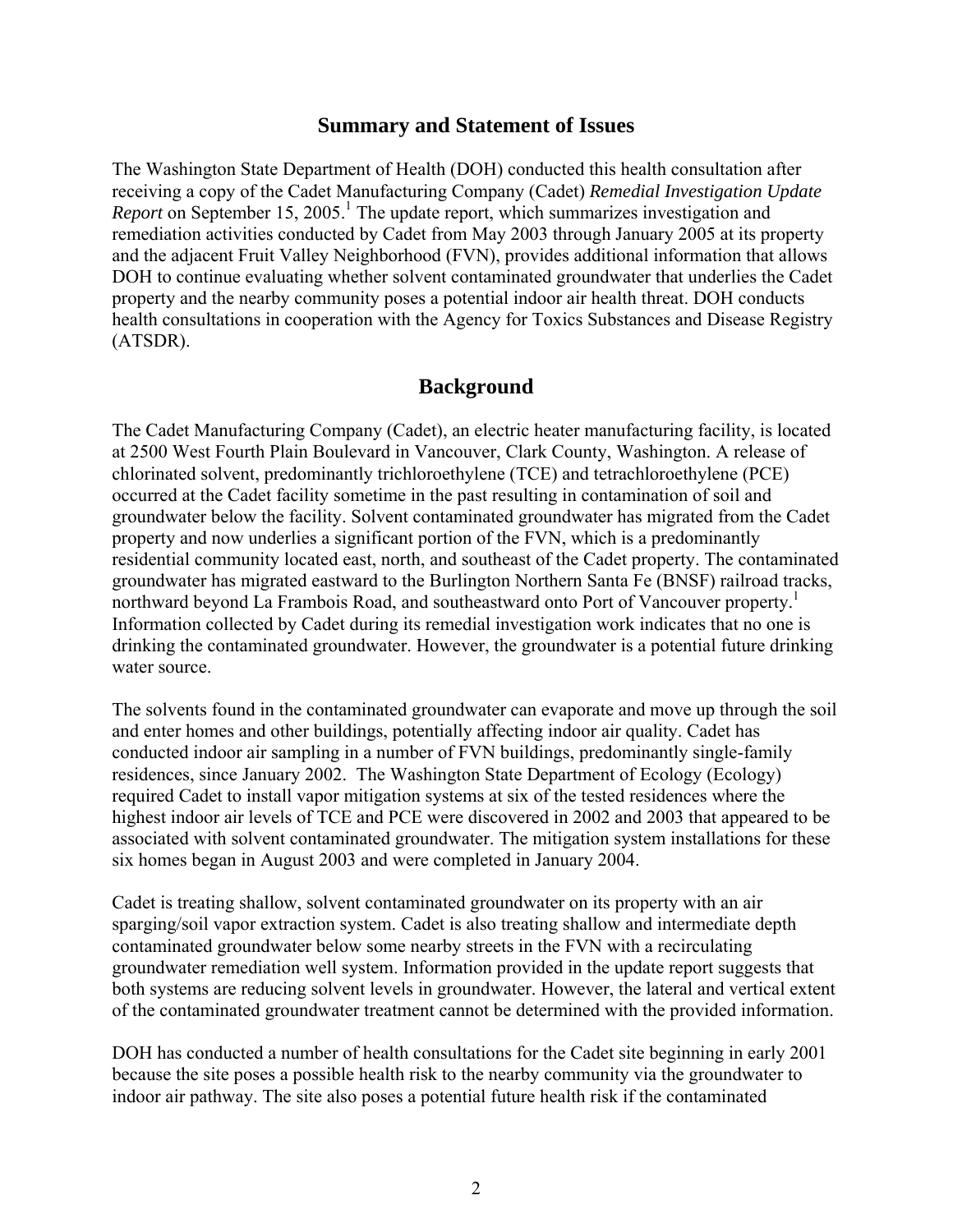### **Summary and Statement of Issues**

The Washington State Department of Health (DOH) conducted this health consultation after receiving a copy of the Cadet Manufacturing Company (Cadet) *Remedial Investigation Update*  Report on September 15, 2005.<sup>1</sup> The update report, which summarizes investigation and remediation activities conducted by Cadet from May 2003 through January 2005 at its property and the adjacent Fruit Valley Neighborhood (FVN), provides additional information that allows DOH to continue evaluating whether solvent contaminated groundwater that underlies the Cadet property and the nearby community poses a potential indoor air health threat. DOH conducts health consultations in cooperation with the Agency for Toxics Substances and Disease Registry (ATSDR).

### **Background**

The Cadet Manufacturing Company (Cadet), an electric heater manufacturing facility, is located at 2500 West Fourth Plain Boulevard in Vancouver, Clark County, Washington. A release of chlorinated solvent, predominantly trichloroethylene (TCE) and tetrachloroethylene (PCE) occurred at the Cadet facility sometime in the past resulting in contamination of soil and groundwater below the facility. Solvent contaminated groundwater has migrated from the Cadet property and now underlies a significant portion of the FVN, which is a predominantly residential community located east, north, and southeast of the Cadet property. The contaminated groundwater has migrated eastward to the Burlington Northern Santa Fe (BNSF) railroad tracks, northward beyond La Frambois Road, and southeastward onto Port of Vancouver property.<sup>1</sup> Information collected by Cadet during its remedial investigation work indicates that no one is drinking the contaminated groundwater. However, the groundwater is a potential future drinking water source.

The solvents found in the contaminated groundwater can evaporate and move up through the soil and enter homes and other buildings, potentially affecting indoor air quality. Cadet has conducted indoor air sampling in a number of FVN buildings, predominantly single-family residences, since January 2002. The Washington State Department of Ecology (Ecology) required Cadet to install vapor mitigation systems at six of the tested residences where the highest indoor air levels of TCE and PCE were discovered in 2002 and 2003 that appeared to be associated with solvent contaminated groundwater. The mitigation system installations for these six homes began in August 2003 and were completed in January 2004.

Cadet is treating shallow, solvent contaminated groundwater on its property with an air sparging/soil vapor extraction system. Cadet is also treating shallow and intermediate depth contaminated groundwater below some nearby streets in the FVN with a recirculating groundwater remediation well system. Information provided in the update report suggests that both systems are reducing solvent levels in groundwater. However, the lateral and vertical extent of the contaminated groundwater treatment cannot be determined with the provided information.

DOH has conducted a number of health consultations for the Cadet site beginning in early 2001 because the site poses a possible health risk to the nearby community via the groundwater to indoor air pathway. The site also poses a potential future health risk if the contaminated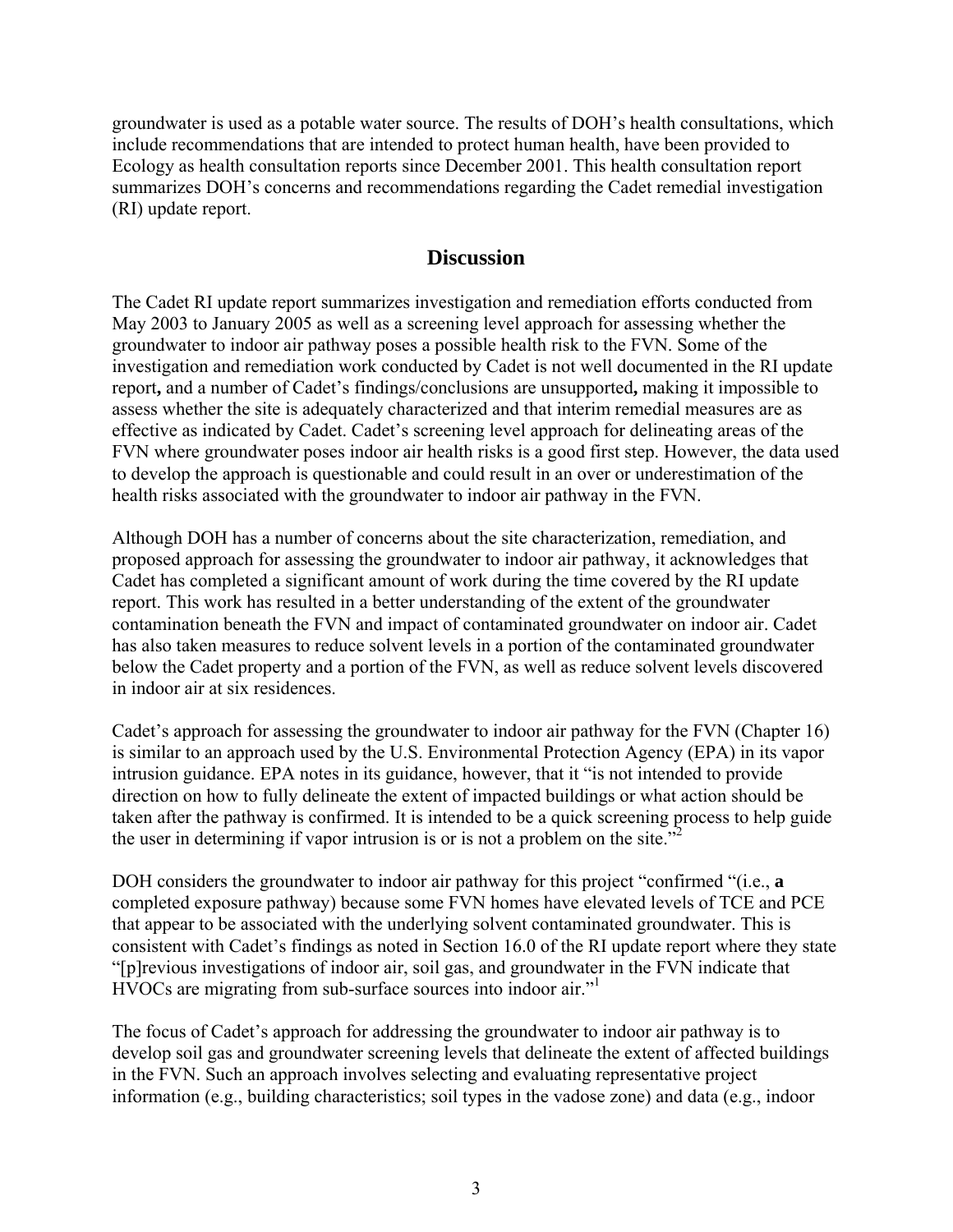groundwater is used as a potable water source. The results of DOH's health consultations, which include recommendations that are intended to protect human health, have been provided to Ecology as health consultation reports since December 2001. This health consultation report summarizes DOH's concerns and recommendations regarding the Cadet remedial investigation (RI) update report.

#### **Discussion**

The Cadet RI update report summarizes investigation and remediation efforts conducted from May 2003 to January 2005 as well as a screening level approach for assessing whether the groundwater to indoor air pathway poses a possible health risk to the FVN. Some of the investigation and remediation work conducted by Cadet is not well documented in the RI update report**,** and a number of Cadet's findings/conclusions are unsupported**,** making it impossible to assess whether the site is adequately characterized and that interim remedial measures are as effective as indicated by Cadet. Cadet's screening level approach for delineating areas of the FVN where groundwater poses indoor air health risks is a good first step. However, the data used to develop the approach is questionable and could result in an over or underestimation of the health risks associated with the groundwater to indoor air pathway in the FVN.

Although DOH has a number of concerns about the site characterization, remediation, and proposed approach for assessing the groundwater to indoor air pathway, it acknowledges that Cadet has completed a significant amount of work during the time covered by the RI update report. This work has resulted in a better understanding of the extent of the groundwater contamination beneath the FVN and impact of contaminated groundwater on indoor air. Cadet has also taken measures to reduce solvent levels in a portion of the contaminated groundwater below the Cadet property and a portion of the FVN, as well as reduce solvent levels discovered in indoor air at six residences.

Cadet's approach for assessing the groundwater to indoor air pathway for the FVN (Chapter 16) is similar to an approach used by the U.S. Environmental Protection Agency (EPA) in its vapor intrusion guidance. EPA notes in its guidance, however, that it "is not intended to provide direction on how to fully delineate the extent of impacted buildings or what action should be taken after the pathway is confirmed. It is intended to be a quick screening process to help guide the user in determining if vapor intrusion is or is not a problem on the site."<sup>2</sup>

DOH considers the groundwater to indoor air pathway for this project "confirmed "(i.e., **a**  completed exposure pathway) because some FVN homes have elevated levels of TCE and PCE that appear to be associated with the underlying solvent contaminated groundwater. This is consistent with Cadet's findings as noted in Section 16.0 of the RI update report where they state "[p]revious investigations of indoor air, soil gas, and groundwater in the FVN indicate that HVOCs are migrating from sub-surface sources into indoor air."1

The focus of Cadet's approach for addressing the groundwater to indoor air pathway is to develop soil gas and groundwater screening levels that delineate the extent of affected buildings in the FVN. Such an approach involves selecting and evaluating representative project information (e.g., building characteristics; soil types in the vadose zone) and data (e.g., indoor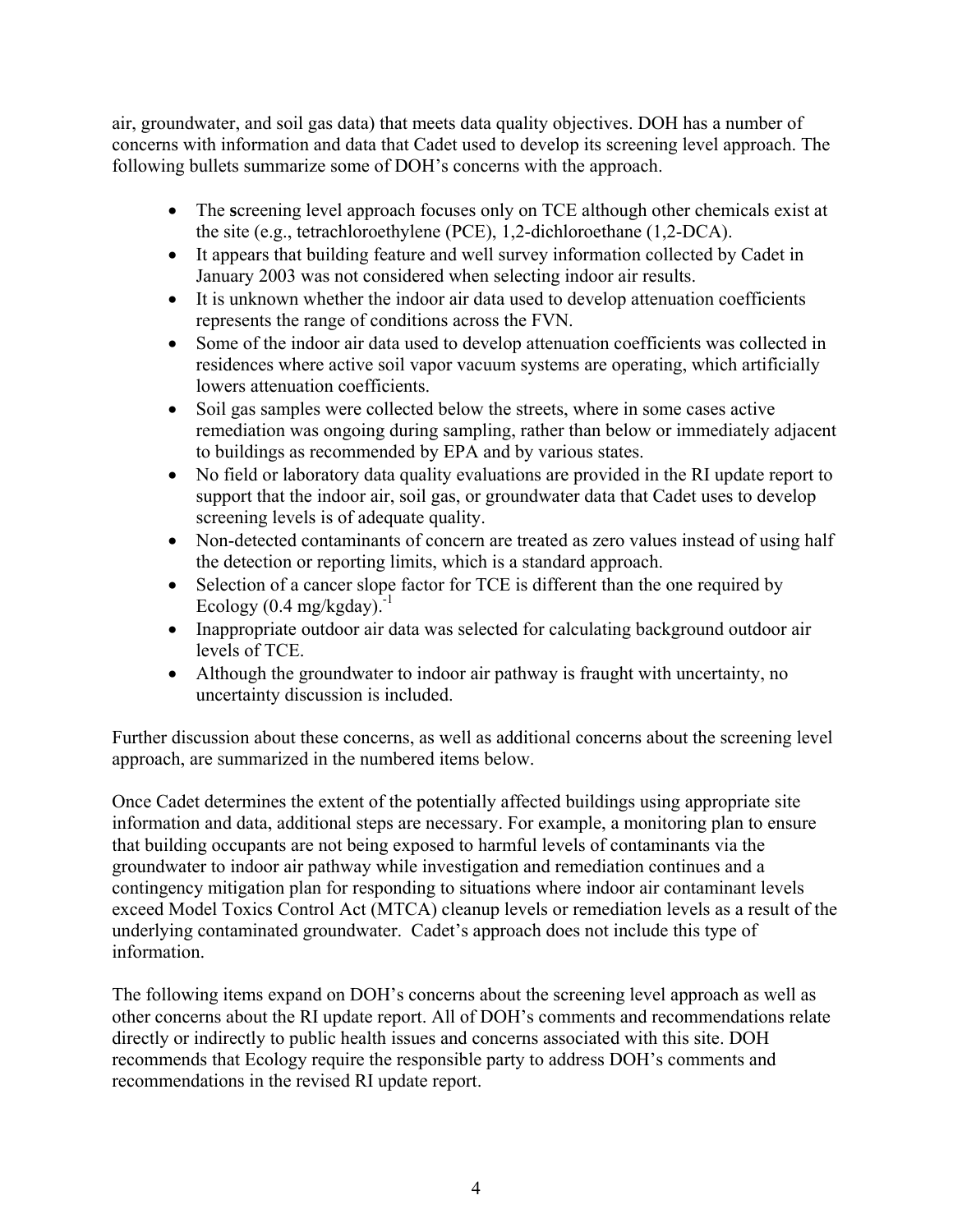air, groundwater, and soil gas data) that meets data quality objectives. DOH has a number of concerns with information and data that Cadet used to develop its screening level approach. The following bullets summarize some of DOH's concerns with the approach.

- The screening level approach focuses only on TCE although other chemicals exist at the site (e.g., tetrachloroethylene (PCE), 1,2-dichloroethane (1,2-DCA).
- It appears that building feature and well survey information collected by Cadet in January 2003 was not considered when selecting indoor air results.
- It is unknown whether the indoor air data used to develop attenuation coefficients represents the range of conditions across the FVN.
- Some of the indoor air data used to develop attenuation coefficients was collected in residences where active soil vapor vacuum systems are operating, which artificially lowers attenuation coefficients.
- Soil gas samples were collected below the streets, where in some cases active remediation was ongoing during sampling, rather than below or immediately adjacent to buildings as recommended by EPA and by various states.
- No field or laboratory data quality evaluations are provided in the RI update report to support that the indoor air, soil gas, or groundwater data that Cadet uses to develop screening levels is of adequate quality.
- Non-detected contaminants of concern are treated as zero values instead of using half the detection or reporting limits, which is a standard approach.
- Selection of a cancer slope factor for TCE is different than the one required by Ecology  $(0.4 \text{ mg/kgday})$ .<sup>-1</sup>
- Inappropriate outdoor air data was selected for calculating background outdoor air levels of TCE.
- Although the groundwater to indoor air pathway is fraught with uncertainty, no uncertainty discussion is included.

Further discussion about these concerns, as well as additional concerns about the screening level approach, are summarized in the numbered items below.

Once Cadet determines the extent of the potentially affected buildings using appropriate site information and data, additional steps are necessary. For example, a monitoring plan to ensure that building occupants are not being exposed to harmful levels of contaminants via the groundwater to indoor air pathway while investigation and remediation continues and a contingency mitigation plan for responding to situations where indoor air contaminant levels exceed Model Toxics Control Act (MTCA) cleanup levels or remediation levels as a result of the underlying contaminated groundwater. Cadet's approach does not include this type of information.

The following items expand on DOH's concerns about the screening level approach as well as other concerns about the RI update report. All of DOH's comments and recommendations relate directly or indirectly to public health issues and concerns associated with this site. DOH recommends that Ecology require the responsible party to address DOH's comments and recommendations in the revised RI update report.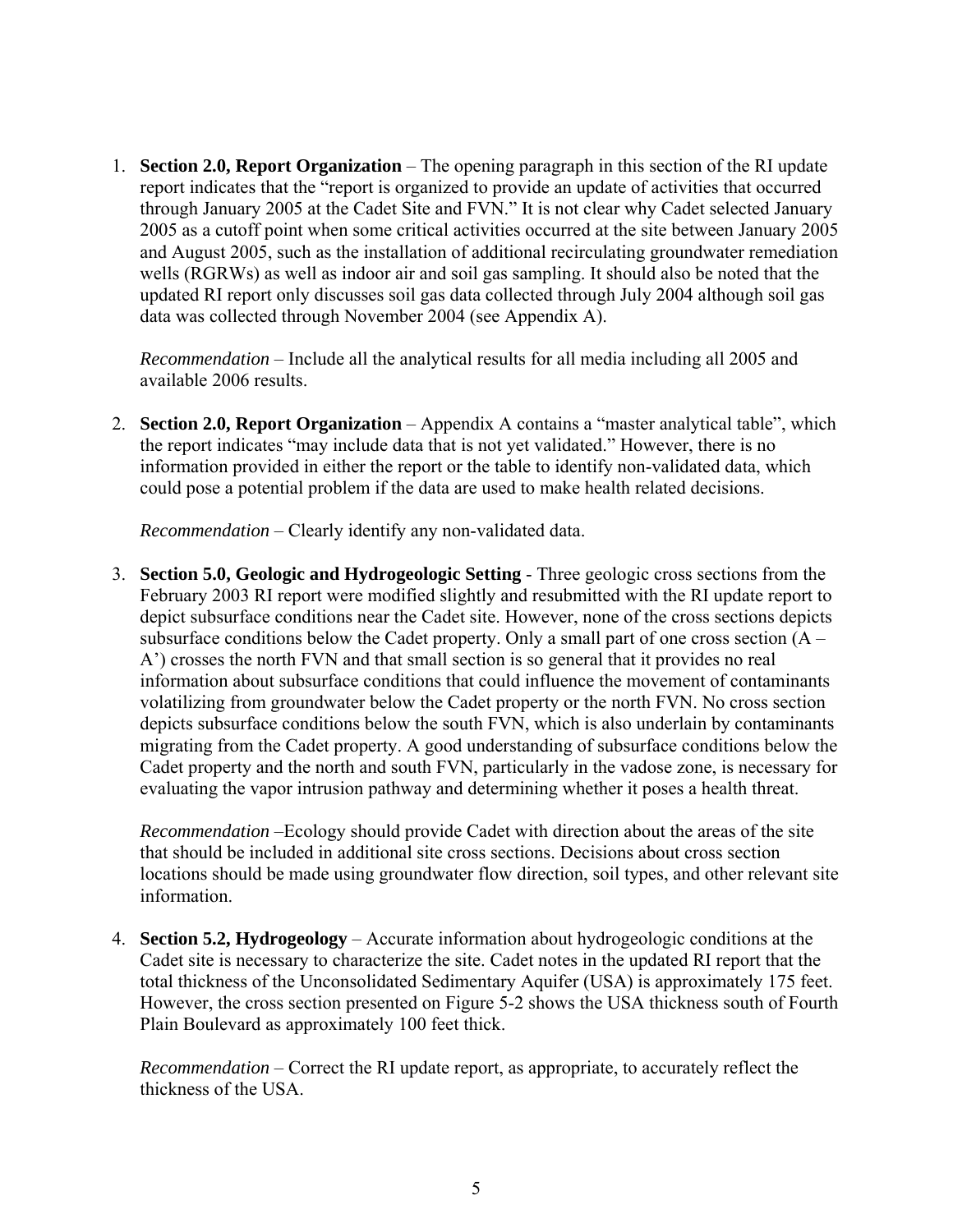1. **Section 2.0, Report Organization** – The opening paragraph in this section of the RI update report indicates that the "report is organized to provide an update of activities that occurred through January 2005 at the Cadet Site and FVN." It is not clear why Cadet selected January 2005 as a cutoff point when some critical activities occurred at the site between January 2005 and August 2005, such as the installation of additional recirculating groundwater remediation wells (RGRWs) as well as indoor air and soil gas sampling. It should also be noted that the updated RI report only discusses soil gas data collected through July 2004 although soil gas data was collected through November 2004 (see Appendix A).

*Recommendation* – Include all the analytical results for all media including all 2005 and available 2006 results.

2. **Section 2.0, Report Organization** – Appendix A contains a "master analytical table", which the report indicates "may include data that is not yet validated." However, there is no information provided in either the report or the table to identify non-validated data, which could pose a potential problem if the data are used to make health related decisions.

*Recommendation* – Clearly identify any non-validated data.

3. **Section 5.0, Geologic and Hydrogeologic Setting** - Three geologic cross sections from the February 2003 RI report were modified slightly and resubmitted with the RI update report to depict subsurface conditions near the Cadet site. However, none of the cross sections depicts subsurface conditions below the Cadet property. Only a small part of one cross section  $(A -$ A') crosses the north FVN and that small section is so general that it provides no real information about subsurface conditions that could influence the movement of contaminants volatilizing from groundwater below the Cadet property or the north FVN. No cross section depicts subsurface conditions below the south FVN, which is also underlain by contaminants migrating from the Cadet property. A good understanding of subsurface conditions below the Cadet property and the north and south FVN, particularly in the vadose zone, is necessary for evaluating the vapor intrusion pathway and determining whether it poses a health threat.

*Recommendation* –Ecology should provide Cadet with direction about the areas of the site that should be included in additional site cross sections. Decisions about cross section locations should be made using groundwater flow direction, soil types, and other relevant site information.

4. **Section 5.2, Hydrogeology** – Accurate information about hydrogeologic conditions at the Cadet site is necessary to characterize the site. Cadet notes in the updated RI report that the total thickness of the Unconsolidated Sedimentary Aquifer (USA) is approximately 175 feet. However, the cross section presented on Figure 5-2 shows the USA thickness south of Fourth Plain Boulevard as approximately 100 feet thick.

*Recommendation* – Correct the RI update report, as appropriate, to accurately reflect the thickness of the USA.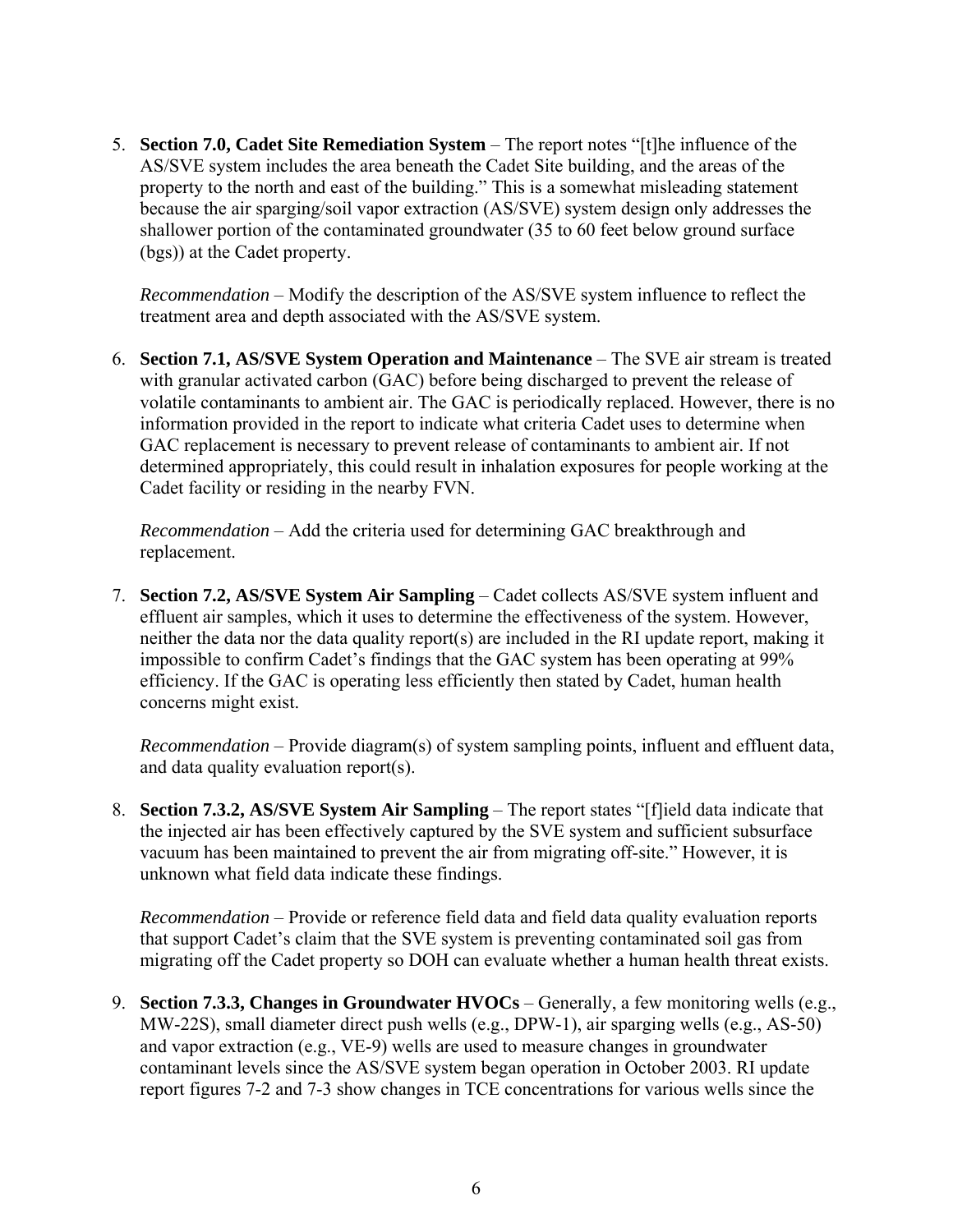5. **Section 7.0, Cadet Site Remediation System** – The report notes "[t]he influence of the AS/SVE system includes the area beneath the Cadet Site building, and the areas of the property to the north and east of the building." This is a somewhat misleading statement because the air sparging/soil vapor extraction (AS/SVE) system design only addresses the shallower portion of the contaminated groundwater (35 to 60 feet below ground surface (bgs)) at the Cadet property.

*Recommendation* – Modify the description of the AS/SVE system influence to reflect the treatment area and depth associated with the AS/SVE system.

6. **Section 7.1, AS/SVE System Operation and Maintenance** – The SVE air stream is treated with granular activated carbon (GAC) before being discharged to prevent the release of volatile contaminants to ambient air. The GAC is periodically replaced. However, there is no information provided in the report to indicate what criteria Cadet uses to determine when GAC replacement is necessary to prevent release of contaminants to ambient air. If not determined appropriately, this could result in inhalation exposures for people working at the Cadet facility or residing in the nearby FVN.

*Recommendation* – Add the criteria used for determining GAC breakthrough and replacement.

7. **Section 7.2, AS/SVE System Air Sampling** – Cadet collects AS/SVE system influent and effluent air samples, which it uses to determine the effectiveness of the system. However, neither the data nor the data quality report(s) are included in the RI update report, making it impossible to confirm Cadet's findings that the GAC system has been operating at 99% efficiency. If the GAC is operating less efficiently then stated by Cadet, human health concerns might exist.

*Recommendation* – Provide diagram(s) of system sampling points, influent and effluent data, and data quality evaluation report(s).

8. **Section 7.3.2, AS/SVE System Air Sampling** – The report states "[f]ield data indicate that the injected air has been effectively captured by the SVE system and sufficient subsurface vacuum has been maintained to prevent the air from migrating off-site." However, it is unknown what field data indicate these findings.

*Recommendation* – Provide or reference field data and field data quality evaluation reports that support Cadet's claim that the SVE system is preventing contaminated soil gas from migrating off the Cadet property so DOH can evaluate whether a human health threat exists.

9. **Section 7.3.3, Changes in Groundwater HVOCs** – Generally, a few monitoring wells (e.g., MW-22S), small diameter direct push wells (e.g., DPW-1), air sparging wells (e.g., AS-50) and vapor extraction (e.g., VE-9) wells are used to measure changes in groundwater contaminant levels since the AS/SVE system began operation in October 2003. RI update report figures 7-2 and 7-3 show changes in TCE concentrations for various wells since the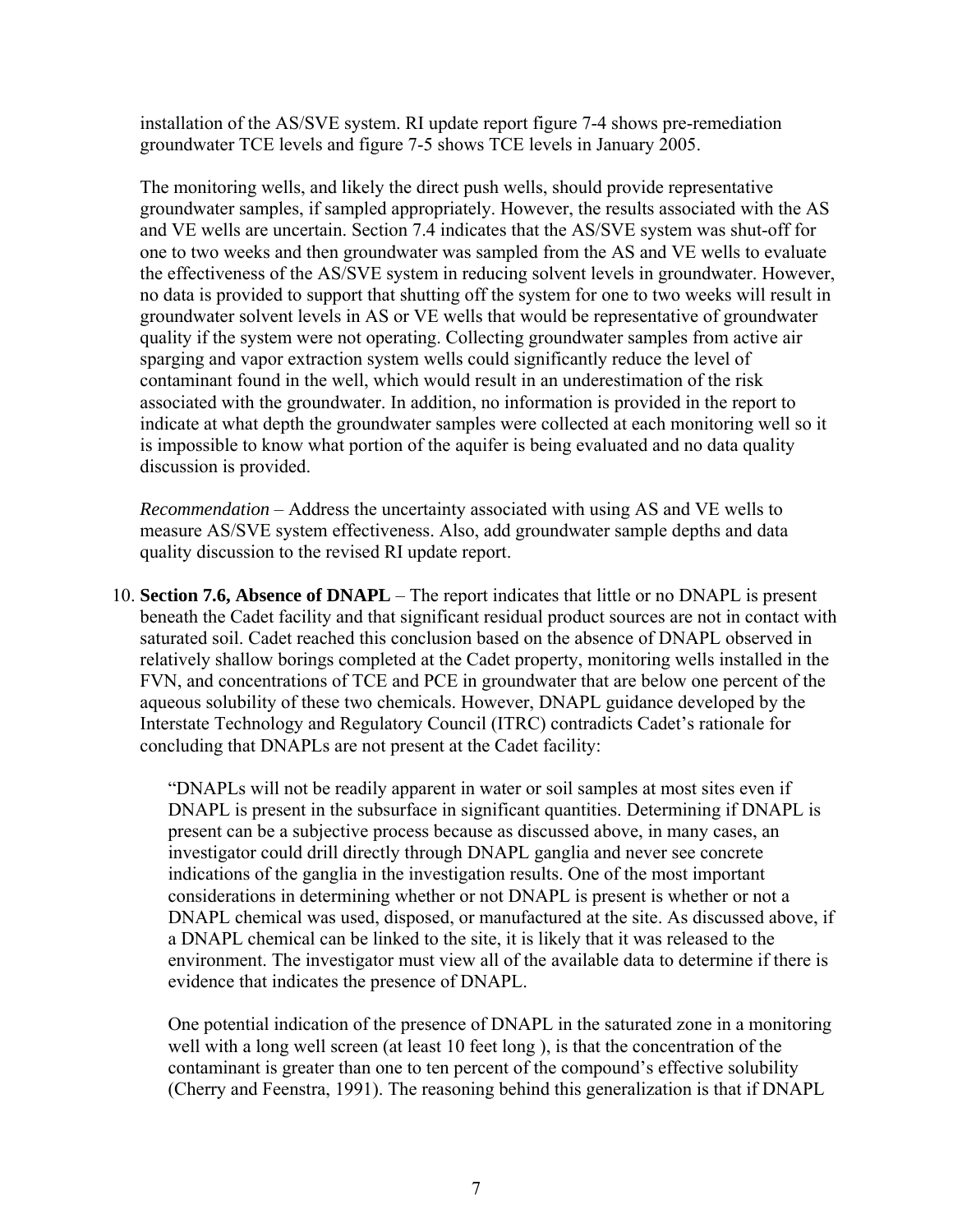installation of the AS/SVE system. RI update report figure 7-4 shows pre-remediation groundwater TCE levels and figure 7-5 shows TCE levels in January 2005.

The monitoring wells, and likely the direct push wells, should provide representative groundwater samples, if sampled appropriately. However, the results associated with the AS and VE wells are uncertain. Section 7.4 indicates that the AS/SVE system was shut-off for one to two weeks and then groundwater was sampled from the AS and VE wells to evaluate the effectiveness of the AS/SVE system in reducing solvent levels in groundwater. However, no data is provided to support that shutting off the system for one to two weeks will result in groundwater solvent levels in AS or VE wells that would be representative of groundwater quality if the system were not operating. Collecting groundwater samples from active air sparging and vapor extraction system wells could significantly reduce the level of contaminant found in the well, which would result in an underestimation of the risk associated with the groundwater. In addition, no information is provided in the report to indicate at what depth the groundwater samples were collected at each monitoring well so it is impossible to know what portion of the aquifer is being evaluated and no data quality discussion is provided.

*Recommendation* – Address the uncertainty associated with using AS and VE wells to measure AS/SVE system effectiveness. Also, add groundwater sample depths and data quality discussion to the revised RI update report.

10. **Section 7.6, Absence of DNAPL** – The report indicates that little or no DNAPL is present beneath the Cadet facility and that significant residual product sources are not in contact with saturated soil. Cadet reached this conclusion based on the absence of DNAPL observed in relatively shallow borings completed at the Cadet property, monitoring wells installed in the FVN, and concentrations of TCE and PCE in groundwater that are below one percent of the aqueous solubility of these two chemicals. However, DNAPL guidance developed by the Interstate Technology and Regulatory Council (ITRC) contradicts Cadet's rationale for concluding that DNAPLs are not present at the Cadet facility:

"DNAPLs will not be readily apparent in water or soil samples at most sites even if DNAPL is present in the subsurface in significant quantities. Determining if DNAPL is present can be a subjective process because as discussed above, in many cases, an investigator could drill directly through DNAPL ganglia and never see concrete indications of the ganglia in the investigation results. One of the most important considerations in determining whether or not DNAPL is present is whether or not a DNAPL chemical was used, disposed, or manufactured at the site. As discussed above, if a DNAPL chemical can be linked to the site, it is likely that it was released to the environment. The investigator must view all of the available data to determine if there is evidence that indicates the presence of DNAPL.

One potential indication of the presence of DNAPL in the saturated zone in a monitoring well with a long well screen (at least 10 feet long ), is that the concentration of the contaminant is greater than one to ten percent of the compound's effective solubility (Cherry and Feenstra, 1991). The reasoning behind this generalization is that if DNAPL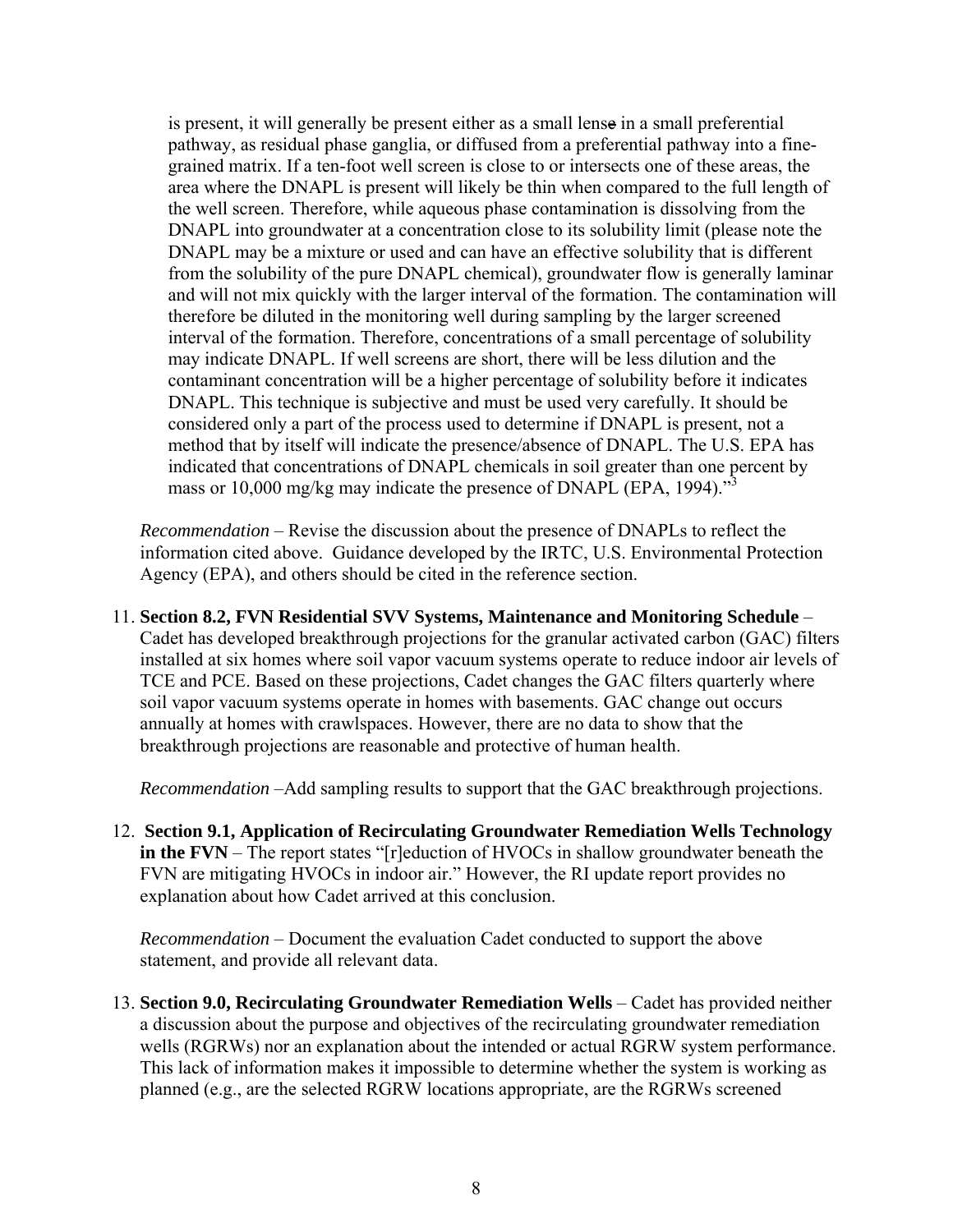is present, it will generally be present either as a small lense in a small preferential pathway, as residual phase ganglia, or diffused from a preferential pathway into a finegrained matrix. If a ten-foot well screen is close to or intersects one of these areas, the area where the DNAPL is present will likely be thin when compared to the full length of the well screen. Therefore, while aqueous phase contamination is dissolving from the DNAPL into groundwater at a concentration close to its solubility limit (please note the DNAPL may be a mixture or used and can have an effective solubility that is different from the solubility of the pure DNAPL chemical), groundwater flow is generally laminar and will not mix quickly with the larger interval of the formation. The contamination will therefore be diluted in the monitoring well during sampling by the larger screened interval of the formation. Therefore, concentrations of a small percentage of solubility may indicate DNAPL. If well screens are short, there will be less dilution and the contaminant concentration will be a higher percentage of solubility before it indicates DNAPL. This technique is subjective and must be used very carefully. It should be considered only a part of the process used to determine if DNAPL is present, not a method that by itself will indicate the presence/absence of DNAPL. The U.S. EPA has indicated that concentrations of DNAPL chemicals in soil greater than one percent by mass or 10,000 mg/kg may indicate the presence of DNAPL (EPA, 1994).<sup>33</sup>

*Recommendation* – Revise the discussion about the presence of DNAPLs to reflect the information cited above. Guidance developed by the IRTC, U.S. Environmental Protection Agency (EPA), and others should be cited in the reference section.

11. **Section 8.2, FVN Residential SVV Systems, Maintenance and Monitoring Schedule** – Cadet has developed breakthrough projections for the granular activated carbon (GAC) filters installed at six homes where soil vapor vacuum systems operate to reduce indoor air levels of TCE and PCE. Based on these projections, Cadet changes the GAC filters quarterly where soil vapor vacuum systems operate in homes with basements. GAC change out occurs annually at homes with crawlspaces. However, there are no data to show that the breakthrough projections are reasonable and protective of human health.

*Recommendation* –Add sampling results to support that the GAC breakthrough projections.

12. **Section 9.1, Application of Recirculating Groundwater Remediation Wells Technology in the FVN** – The report states "[r]eduction of HVOCs in shallow groundwater beneath the FVN are mitigating HVOCs in indoor air." However, the RI update report provides no explanation about how Cadet arrived at this conclusion.

*Recommendation* – Document the evaluation Cadet conducted to support the above statement, and provide all relevant data.

13. **Section 9.0, Recirculating Groundwater Remediation Wells** – Cadet has provided neither a discussion about the purpose and objectives of the recirculating groundwater remediation wells (RGRWs) nor an explanation about the intended or actual RGRW system performance. This lack of information makes it impossible to determine whether the system is working as planned (e.g., are the selected RGRW locations appropriate, are the RGRWs screened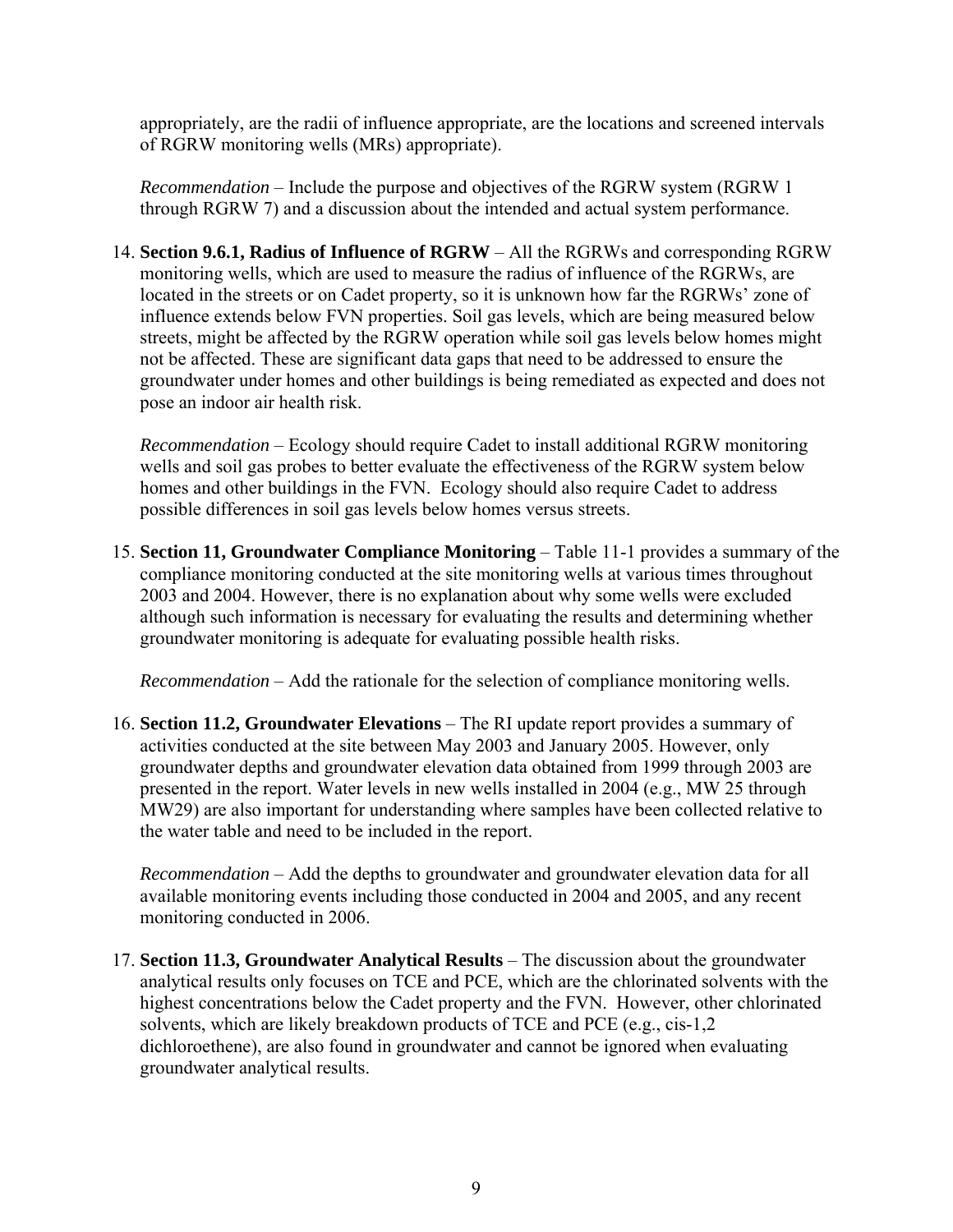appropriately, are the radii of influence appropriate, are the locations and screened intervals of RGRW monitoring wells (MRs) appropriate).

*Recommendation* – Include the purpose and objectives of the RGRW system (RGRW 1 through RGRW 7) and a discussion about the intended and actual system performance.

14. **Section 9.6.1, Radius of Influence of RGRW** – All the RGRWs and corresponding RGRW monitoring wells, which are used to measure the radius of influence of the RGRWs, are located in the streets or on Cadet property, so it is unknown how far the RGRWs' zone of influence extends below FVN properties. Soil gas levels, which are being measured below streets, might be affected by the RGRW operation while soil gas levels below homes might not be affected. These are significant data gaps that need to be addressed to ensure the groundwater under homes and other buildings is being remediated as expected and does not pose an indoor air health risk.

*Recommendation* – Ecology should require Cadet to install additional RGRW monitoring wells and soil gas probes to better evaluate the effectiveness of the RGRW system below homes and other buildings in the FVN. Ecology should also require Cadet to address possible differences in soil gas levels below homes versus streets.

15. **Section 11, Groundwater Compliance Monitoring** – Table 11-1 provides a summary of the compliance monitoring conducted at the site monitoring wells at various times throughout 2003 and 2004. However, there is no explanation about why some wells were excluded although such information is necessary for evaluating the results and determining whether groundwater monitoring is adequate for evaluating possible health risks.

*Recommendation* – Add the rationale for the selection of compliance monitoring wells.

16. **Section 11.2, Groundwater Elevations** – The RI update report provides a summary of activities conducted at the site between May 2003 and January 2005. However, only groundwater depths and groundwater elevation data obtained from 1999 through 2003 are presented in the report. Water levels in new wells installed in 2004 (e.g., MW 25 through MW29) are also important for understanding where samples have been collected relative to the water table and need to be included in the report.

*Recommendation* – Add the depths to groundwater and groundwater elevation data for all available monitoring events including those conducted in 2004 and 2005, and any recent monitoring conducted in 2006.

17. **Section 11.3, Groundwater Analytical Results** – The discussion about the groundwater analytical results only focuses on TCE and PCE, which are the chlorinated solvents with the highest concentrations below the Cadet property and the FVN. However, other chlorinated solvents, which are likely breakdown products of TCE and PCE (e.g., cis-1,2 dichloroethene), are also found in groundwater and cannot be ignored when evaluating groundwater analytical results.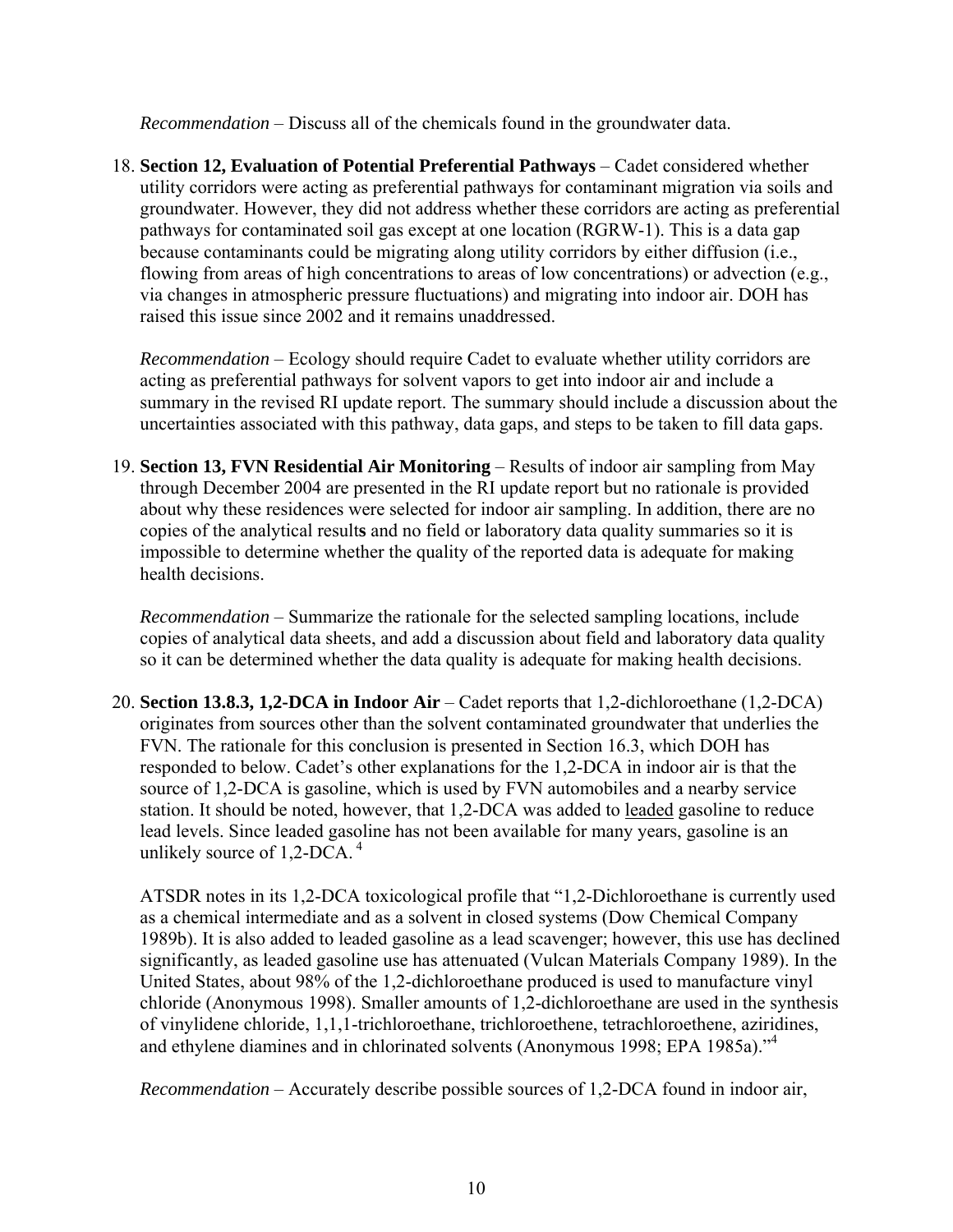*Recommendation* – Discuss all of the chemicals found in the groundwater data.

18. **Section 12, Evaluation of Potential Preferential Pathways** – Cadet considered whether utility corridors were acting as preferential pathways for contaminant migration via soils and groundwater. However, they did not address whether these corridors are acting as preferential pathways for contaminated soil gas except at one location (RGRW-1). This is a data gap because contaminants could be migrating along utility corridors by either diffusion (i.e., flowing from areas of high concentrations to areas of low concentrations) or advection (e.g., via changes in atmospheric pressure fluctuations) and migrating into indoor air. DOH has raised this issue since 2002 and it remains unaddressed.

*Recommendation* – Ecology should require Cadet to evaluate whether utility corridors are acting as preferential pathways for solvent vapors to get into indoor air and include a summary in the revised RI update report. The summary should include a discussion about the uncertainties associated with this pathway, data gaps, and steps to be taken to fill data gaps.

19. **Section 13, FVN Residential Air Monitoring** – Results of indoor air sampling from May through December 2004 are presented in the RI update report but no rationale is provided about why these residences were selected for indoor air sampling. In addition, there are no copies of the analytical result**s** and no field or laboratory data quality summaries so it is impossible to determine whether the quality of the reported data is adequate for making health decisions.

*Recommendation* – Summarize the rationale for the selected sampling locations, include copies of analytical data sheets, and add a discussion about field and laboratory data quality so it can be determined whether the data quality is adequate for making health decisions.

20. **Section 13.8.3, 1,2-DCA in Indoor Air** – Cadet reports that 1,2-dichloroethane (1,2-DCA) originates from sources other than the solvent contaminated groundwater that underlies the FVN. The rationale for this conclusion is presented in Section 16.3, which DOH has responded to below. Cadet's other explanations for the 1,2-DCA in indoor air is that the source of 1,2-DCA is gasoline, which is used by FVN automobiles and a nearby service station. It should be noted, however, that 1,2-DCA was added to leaded gasoline to reduce lead levels. Since leaded gasoline has not been available for many years, gasoline is an unlikely source of 1,2-DCA. 4

ATSDR notes in its 1,2-DCA toxicological profile that "1,2-Dichloroethane is currently used as a chemical intermediate and as a solvent in closed systems (Dow Chemical Company 1989b). It is also added to leaded gasoline as a lead scavenger; however, this use has declined significantly, as leaded gasoline use has attenuated (Vulcan Materials Company 1989). In the United States, about 98% of the 1,2-dichloroethane produced is used to manufacture vinyl chloride (Anonymous 1998). Smaller amounts of 1,2-dichloroethane are used in the synthesis of vinylidene chloride, 1,1,1-trichloroethane, trichloroethene, tetrachloroethene, aziridines, and ethylene diamines and in chlorinated solvents (Anonymous 1998; EPA 1985a)."<sup>4</sup>

*Recommendation* – Accurately describe possible sources of 1,2-DCA found in indoor air,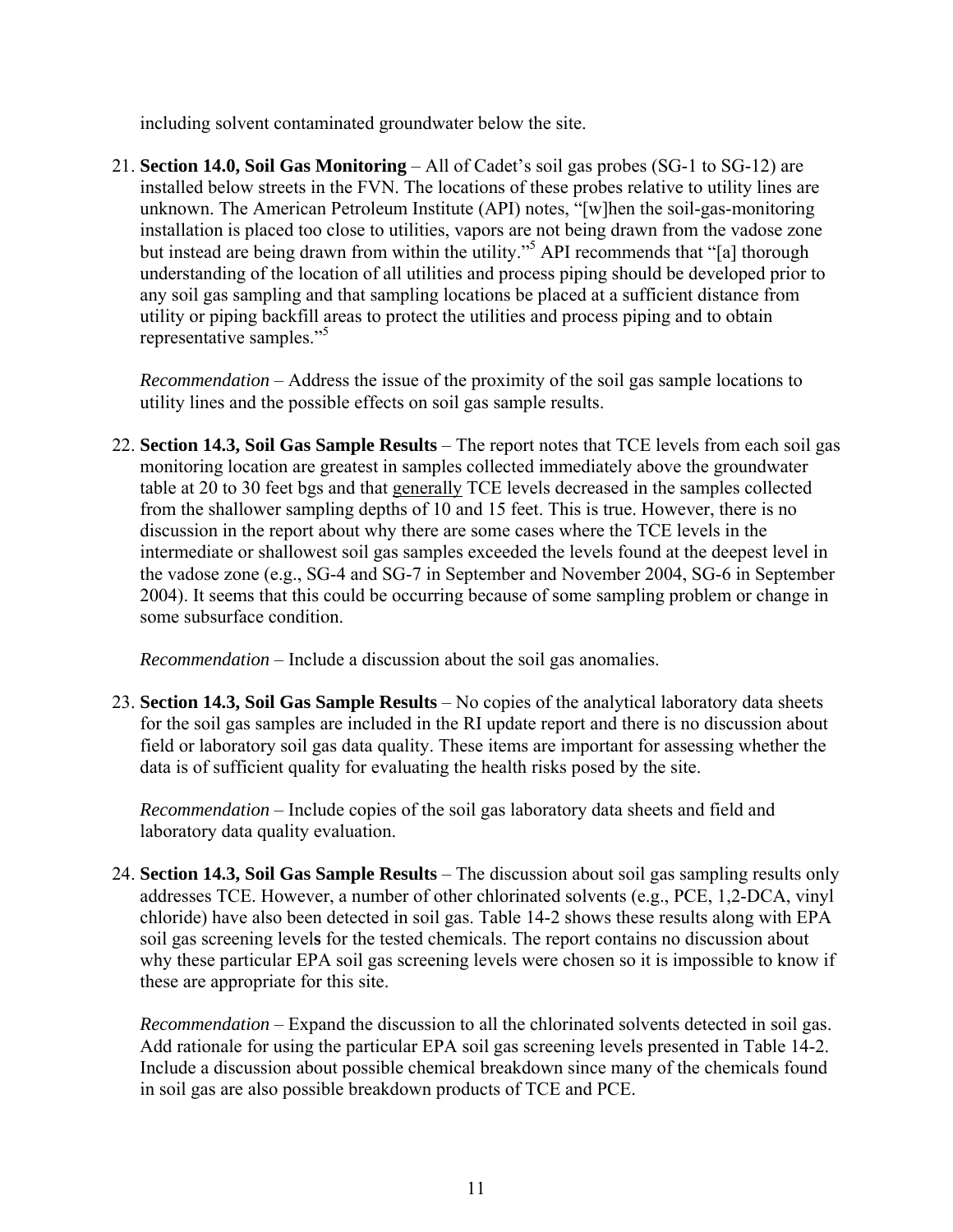including solvent contaminated groundwater below the site.

21. **Section 14.0, Soil Gas Monitoring** – All of Cadet's soil gas probes (SG-1 to SG-12) are installed below streets in the FVN. The locations of these probes relative to utility lines are unknown. The American Petroleum Institute (API) notes, "[w]hen the soil-gas-monitoring installation is placed too close to utilities, vapors are not being drawn from the vadose zone but instead are being drawn from within the utility."<sup>5</sup> API recommends that "[a] thorough understanding of the location of all utilities and process piping should be developed prior to any soil gas sampling and that sampling locations be placed at a sufficient distance from utility or piping backfill areas to protect the utilities and process piping and to obtain representative samples."5

*Recommendation* – Address the issue of the proximity of the soil gas sample locations to utility lines and the possible effects on soil gas sample results.

22. **Section 14.3, Soil Gas Sample Results** – The report notes that TCE levels from each soil gas monitoring location are greatest in samples collected immediately above the groundwater table at 20 to 30 feet bgs and that generally TCE levels decreased in the samples collected from the shallower sampling depths of 10 and 15 feet. This is true. However, there is no discussion in the report about why there are some cases where the TCE levels in the intermediate or shallowest soil gas samples exceeded the levels found at the deepest level in the vadose zone (e.g., SG-4 and SG-7 in September and November 2004, SG-6 in September 2004). It seems that this could be occurring because of some sampling problem or change in some subsurface condition.

*Recommendation* – Include a discussion about the soil gas anomalies.

23. **Section 14.3, Soil Gas Sample Results** – No copies of the analytical laboratory data sheets for the soil gas samples are included in the RI update report and there is no discussion about field or laboratory soil gas data quality. These items are important for assessing whether the data is of sufficient quality for evaluating the health risks posed by the site.

*Recommendation* – Include copies of the soil gas laboratory data sheets and field and laboratory data quality evaluation.

24. **Section 14.3, Soil Gas Sample Results** – The discussion about soil gas sampling results only addresses TCE. However, a number of other chlorinated solvents (e.g., PCE, 1,2-DCA, vinyl chloride) have also been detected in soil gas. Table 14-2 shows these results along with EPA soil gas screening level**s** for the tested chemicals. The report contains no discussion about why these particular EPA soil gas screening levels were chosen so it is impossible to know if these are appropriate for this site.

*Recommendation* – Expand the discussion to all the chlorinated solvents detected in soil gas. Add rationale for using the particular EPA soil gas screening levels presented in Table 14-2. Include a discussion about possible chemical breakdown since many of the chemicals found in soil gas are also possible breakdown products of TCE and PCE.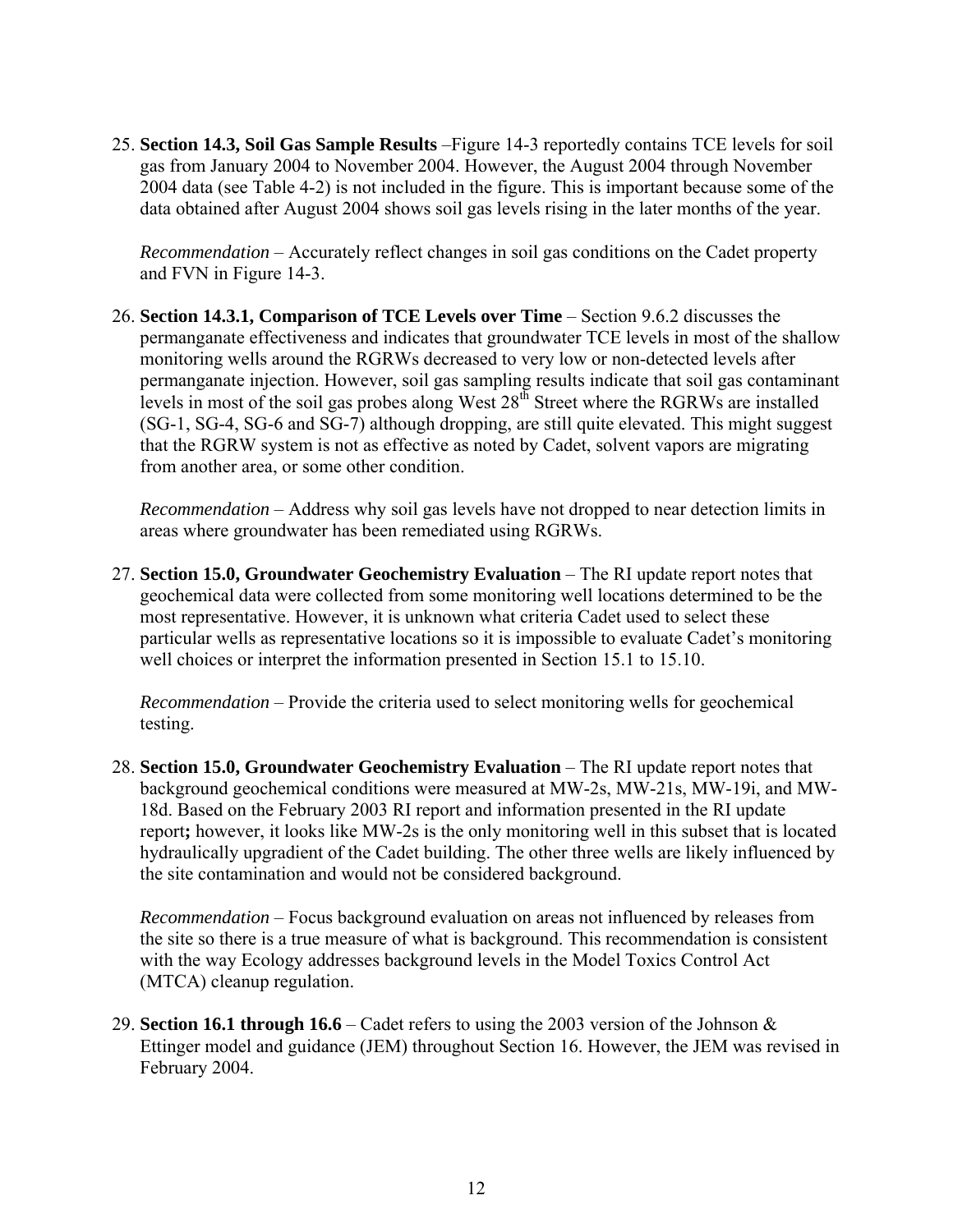25. **Section 14.3, Soil Gas Sample Results** –Figure 14-3 reportedly contains TCE levels for soil gas from January 2004 to November 2004. However, the August 2004 through November 2004 data (see Table 4-2) is not included in the figure. This is important because some of the data obtained after August 2004 shows soil gas levels rising in the later months of the year.

*Recommendation* – Accurately reflect changes in soil gas conditions on the Cadet property and FVN in Figure 14-3.

26. **Section 14.3.1, Comparison of TCE Levels over Time** – Section 9.6.2 discusses the permanganate effectiveness and indicates that groundwater TCE levels in most of the shallow monitoring wells around the RGRWs decreased to very low or non-detected levels after permanganate injection. However, soil gas sampling results indicate that soil gas contaminant levels in most of the soil gas probes along West 28<sup>th</sup> Street where the RGRWs are installed (SG-1, SG-4, SG-6 and SG-7) although dropping, are still quite elevated. This might suggest that the RGRW system is not as effective as noted by Cadet, solvent vapors are migrating from another area, or some other condition.

*Recommendation* – Address why soil gas levels have not dropped to near detection limits in areas where groundwater has been remediated using RGRWs.

27. **Section 15.0, Groundwater Geochemistry Evaluation** – The RI update report notes that geochemical data were collected from some monitoring well locations determined to be the most representative. However, it is unknown what criteria Cadet used to select these particular wells as representative locations so it is impossible to evaluate Cadet's monitoring well choices or interpret the information presented in Section 15.1 to 15.10.

*Recommendation* – Provide the criteria used to select monitoring wells for geochemical testing.

28. **Section 15.0, Groundwater Geochemistry Evaluation** – The RI update report notes that background geochemical conditions were measured at MW-2s, MW-21s, MW-19i, and MW-18d. Based on the February 2003 RI report and information presented in the RI update report**;** however, it looks like MW-2s is the only monitoring well in this subset that is located hydraulically upgradient of the Cadet building. The other three wells are likely influenced by the site contamination and would not be considered background.

*Recommendation* – Focus background evaluation on areas not influenced by releases from the site so there is a true measure of what is background. This recommendation is consistent with the way Ecology addresses background levels in the Model Toxics Control Act (MTCA) cleanup regulation.

29. **Section 16.1 through 16.6** – Cadet refers to using the 2003 version of the Johnson & Ettinger model and guidance (JEM) throughout Section 16. However, the JEM was revised in February 2004.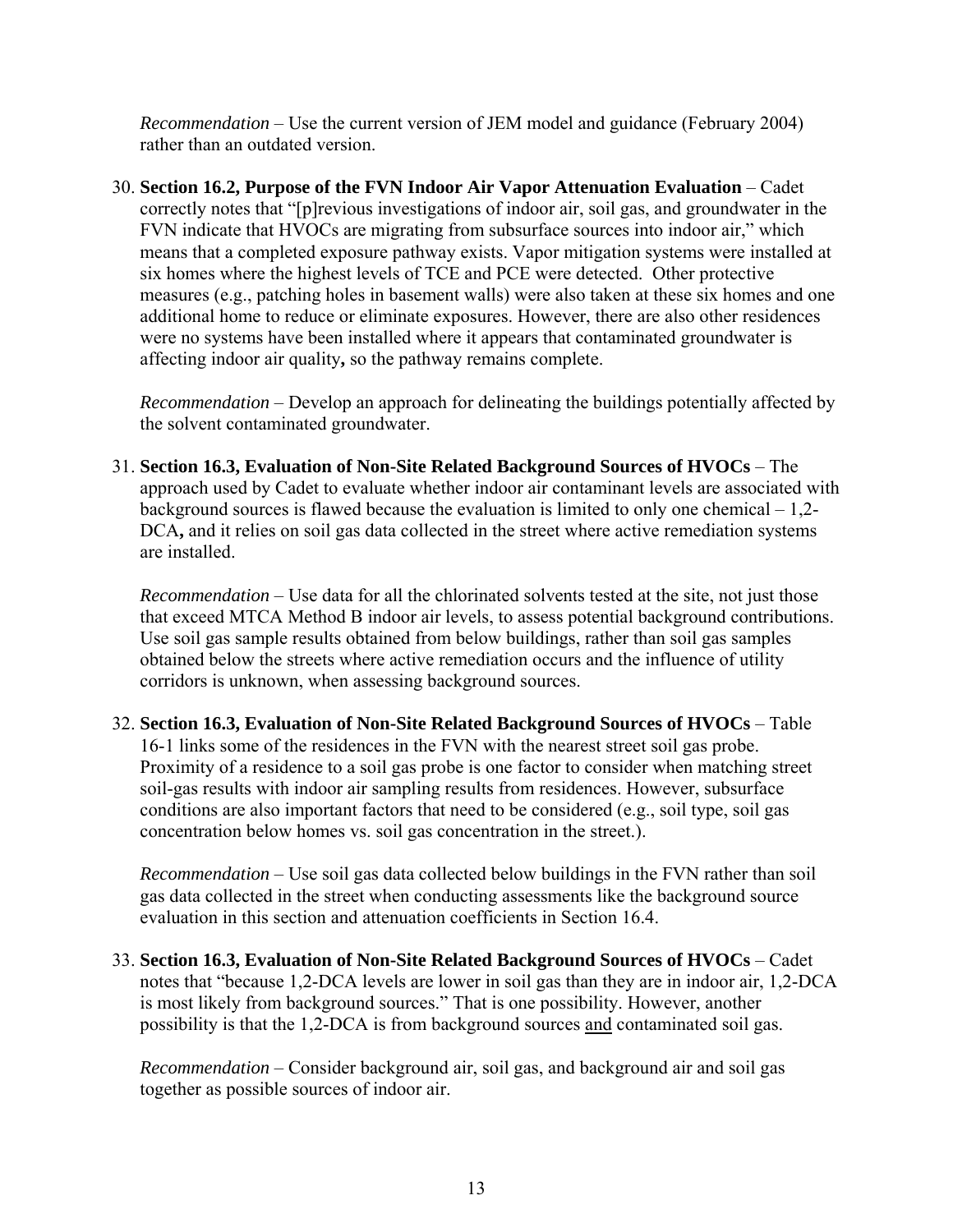*Recommendation* – Use the current version of JEM model and guidance (February 2004) rather than an outdated version.

30. **Section 16.2, Purpose of the FVN Indoor Air Vapor Attenuation Evaluation** – Cadet correctly notes that "[p]revious investigations of indoor air, soil gas, and groundwater in the FVN indicate that HVOCs are migrating from subsurface sources into indoor air," which means that a completed exposure pathway exists. Vapor mitigation systems were installed at six homes where the highest levels of TCE and PCE were detected. Other protective measures (e.g., patching holes in basement walls) were also taken at these six homes and one additional home to reduce or eliminate exposures. However, there are also other residences were no systems have been installed where it appears that contaminated groundwater is affecting indoor air quality**,** so the pathway remains complete.

*Recommendation* – Develop an approach for delineating the buildings potentially affected by the solvent contaminated groundwater.

31. **Section 16.3, Evaluation of Non-Site Related Background Sources of HVOCs** – The approach used by Cadet to evaluate whether indoor air contaminant levels are associated with background sources is flawed because the evaluation is limited to only one chemical  $-1,2-$ DCA**,** and it relies on soil gas data collected in the street where active remediation systems are installed.

*Recommendation* – Use data for all the chlorinated solvents tested at the site, not just those that exceed MTCA Method B indoor air levels, to assess potential background contributions. Use soil gas sample results obtained from below buildings, rather than soil gas samples obtained below the streets where active remediation occurs and the influence of utility corridors is unknown, when assessing background sources.

32. **Section 16.3, Evaluation of Non-Site Related Background Sources of HVOCs** – Table 16-1 links some of the residences in the FVN with the nearest street soil gas probe. Proximity of a residence to a soil gas probe is one factor to consider when matching street soil-gas results with indoor air sampling results from residences. However, subsurface conditions are also important factors that need to be considered (e.g., soil type, soil gas concentration below homes vs. soil gas concentration in the street.).

*Recommendation* – Use soil gas data collected below buildings in the FVN rather than soil gas data collected in the street when conducting assessments like the background source evaluation in this section and attenuation coefficients in Section 16.4.

33. **Section 16.3, Evaluation of Non-Site Related Background Sources of HVOCs** – Cadet notes that "because 1,2-DCA levels are lower in soil gas than they are in indoor air, 1,2-DCA is most likely from background sources." That is one possibility. However, another possibility is that the 1,2-DCA is from background sources and contaminated soil gas.

*Recommendation* – Consider background air, soil gas, and background air and soil gas together as possible sources of indoor air.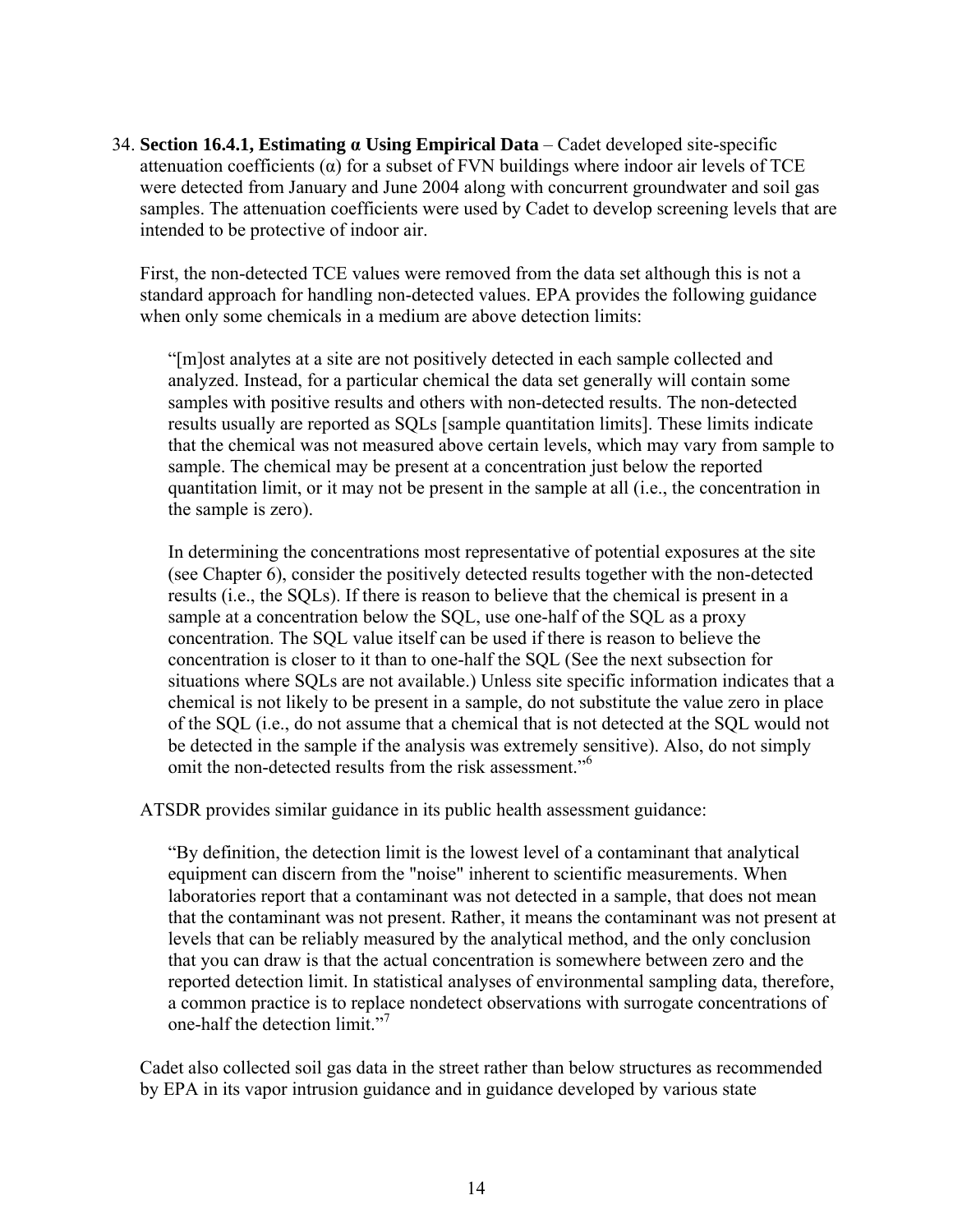34. **Section 16.4.1, Estimating α Using Empirical Data** – Cadet developed site-specific attenuation coefficients  $(a)$  for a subset of FVN buildings where indoor air levels of TCE were detected from January and June 2004 along with concurrent groundwater and soil gas samples. The attenuation coefficients were used by Cadet to develop screening levels that are intended to be protective of indoor air.

First, the non-detected TCE values were removed from the data set although this is not a standard approach for handling non-detected values. EPA provides the following guidance when only some chemicals in a medium are above detection limits:

"[m]ost analytes at a site are not positively detected in each sample collected and analyzed. Instead, for a particular chemical the data set generally will contain some samples with positive results and others with non-detected results. The non-detected results usually are reported as SQLs [sample quantitation limits]. These limits indicate that the chemical was not measured above certain levels, which may vary from sample to sample. The chemical may be present at a concentration just below the reported quantitation limit, or it may not be present in the sample at all (i.e., the concentration in the sample is zero).

In determining the concentrations most representative of potential exposures at the site (see Chapter 6), consider the positively detected results together with the non-detected results (i.e., the SQLs). If there is reason to believe that the chemical is present in a sample at a concentration below the SQL, use one-half of the SQL as a proxy concentration. The SQL value itself can be used if there is reason to believe the concentration is closer to it than to one-half the SQL (See the next subsection for situations where SQLs are not available.) Unless site specific information indicates that a chemical is not likely to be present in a sample, do not substitute the value zero in place of the SQL (i.e., do not assume that a chemical that is not detected at the SQL would not be detected in the sample if the analysis was extremely sensitive). Also, do not simply omit the non-detected results from the risk assessment."<sup>6</sup>

ATSDR provides similar guidance in its public health assessment guidance:

"By definition, the detection limit is the lowest level of a contaminant that analytical equipment can discern from the "noise" inherent to scientific measurements. When laboratories report that a contaminant was not detected in a sample, that does not mean that the contaminant was not present. Rather, it means the contaminant was not present at levels that can be reliably measured by the analytical method, and the only conclusion that you can draw is that the actual concentration is somewhere between zero and the reported detection limit. In statistical analyses of environmental sampling data, therefore, a common practice is to replace nondetect observations with surrogate concentrations of one-half the detection limit."<sup>7</sup>

Cadet also collected soil gas data in the street rather than below structures as recommended by EPA in its vapor intrusion guidance and in guidance developed by various state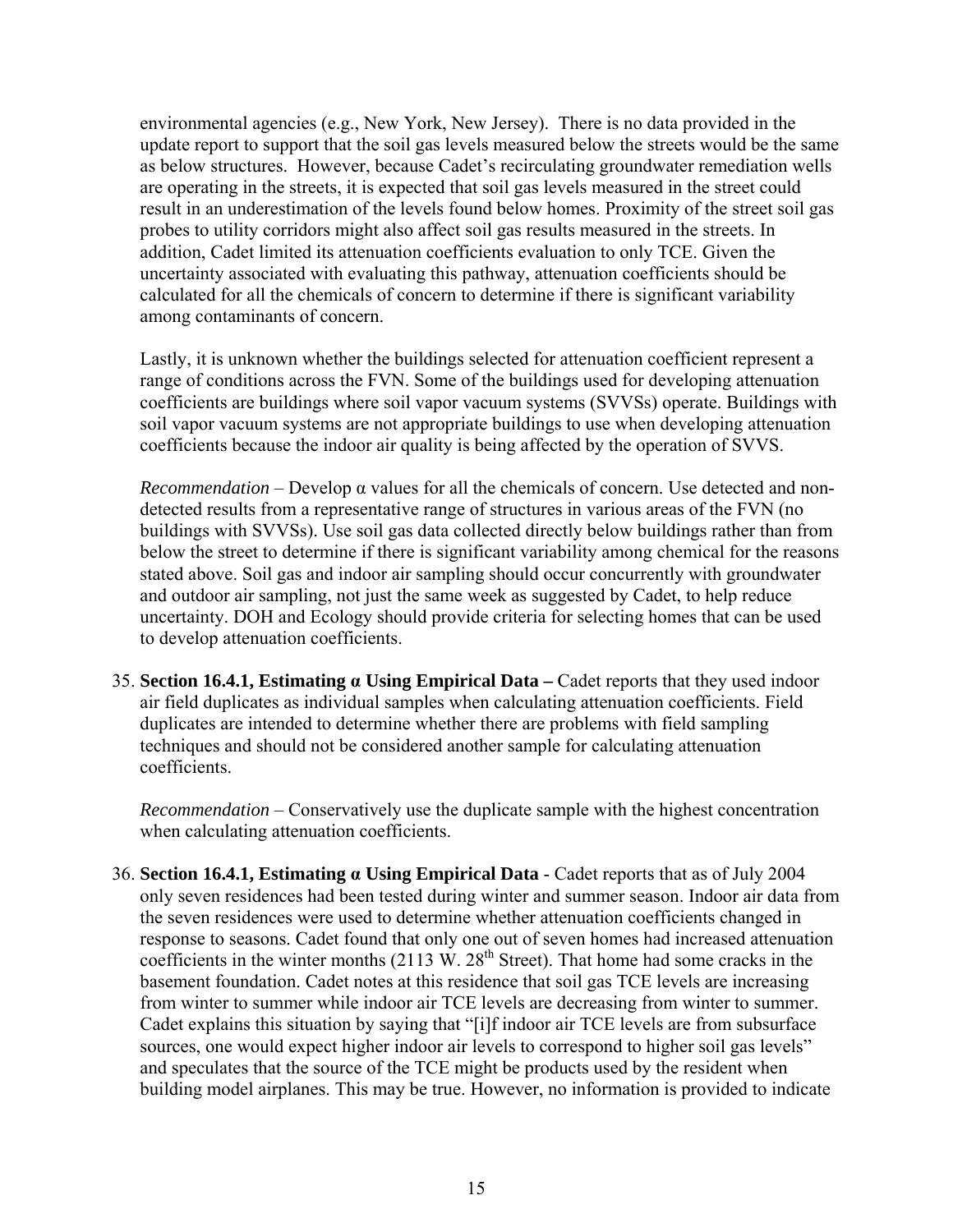environmental agencies (e.g., New York, New Jersey). There is no data provided in the update report to support that the soil gas levels measured below the streets would be the same as below structures. However, because Cadet's recirculating groundwater remediation wells are operating in the streets, it is expected that soil gas levels measured in the street could result in an underestimation of the levels found below homes. Proximity of the street soil gas probes to utility corridors might also affect soil gas results measured in the streets. In addition, Cadet limited its attenuation coefficients evaluation to only TCE. Given the uncertainty associated with evaluating this pathway, attenuation coefficients should be calculated for all the chemicals of concern to determine if there is significant variability among contaminants of concern.

Lastly, it is unknown whether the buildings selected for attenuation coefficient represent a range of conditions across the FVN. Some of the buildings used for developing attenuation coefficients are buildings where soil vapor vacuum systems (SVVSs) operate. Buildings with soil vapor vacuum systems are not appropriate buildings to use when developing attenuation coefficients because the indoor air quality is being affected by the operation of SVVS.

*Recommendation* – Develop  $\alpha$  values for all the chemicals of concern. Use detected and nondetected results from a representative range of structures in various areas of the FVN (no buildings with SVVSs). Use soil gas data collected directly below buildings rather than from below the street to determine if there is significant variability among chemical for the reasons stated above. Soil gas and indoor air sampling should occur concurrently with groundwater and outdoor air sampling, not just the same week as suggested by Cadet, to help reduce uncertainty. DOH and Ecology should provide criteria for selecting homes that can be used to develop attenuation coefficients.

35. **Section 16.4.1, Estimating α Using Empirical Data –** Cadet reports that they used indoor air field duplicates as individual samples when calculating attenuation coefficients. Field duplicates are intended to determine whether there are problems with field sampling techniques and should not be considered another sample for calculating attenuation coefficients.

*Recommendation* – Conservatively use the duplicate sample with the highest concentration when calculating attenuation coefficients.

36. **Section 16.4.1, Estimating α Using Empirical Data** - Cadet reports that as of July 2004 only seven residences had been tested during winter and summer season. Indoor air data from the seven residences were used to determine whether attenuation coefficients changed in response to seasons. Cadet found that only one out of seven homes had increased attenuation coefficients in the winter months  $(2113 \text{ W}$ .  $28^{\text{th}}$  Street). That home had some cracks in the basement foundation. Cadet notes at this residence that soil gas TCE levels are increasing from winter to summer while indoor air TCE levels are decreasing from winter to summer. Cadet explains this situation by saying that "[i]f indoor air TCE levels are from subsurface sources, one would expect higher indoor air levels to correspond to higher soil gas levels" and speculates that the source of the TCE might be products used by the resident when building model airplanes. This may be true. However, no information is provided to indicate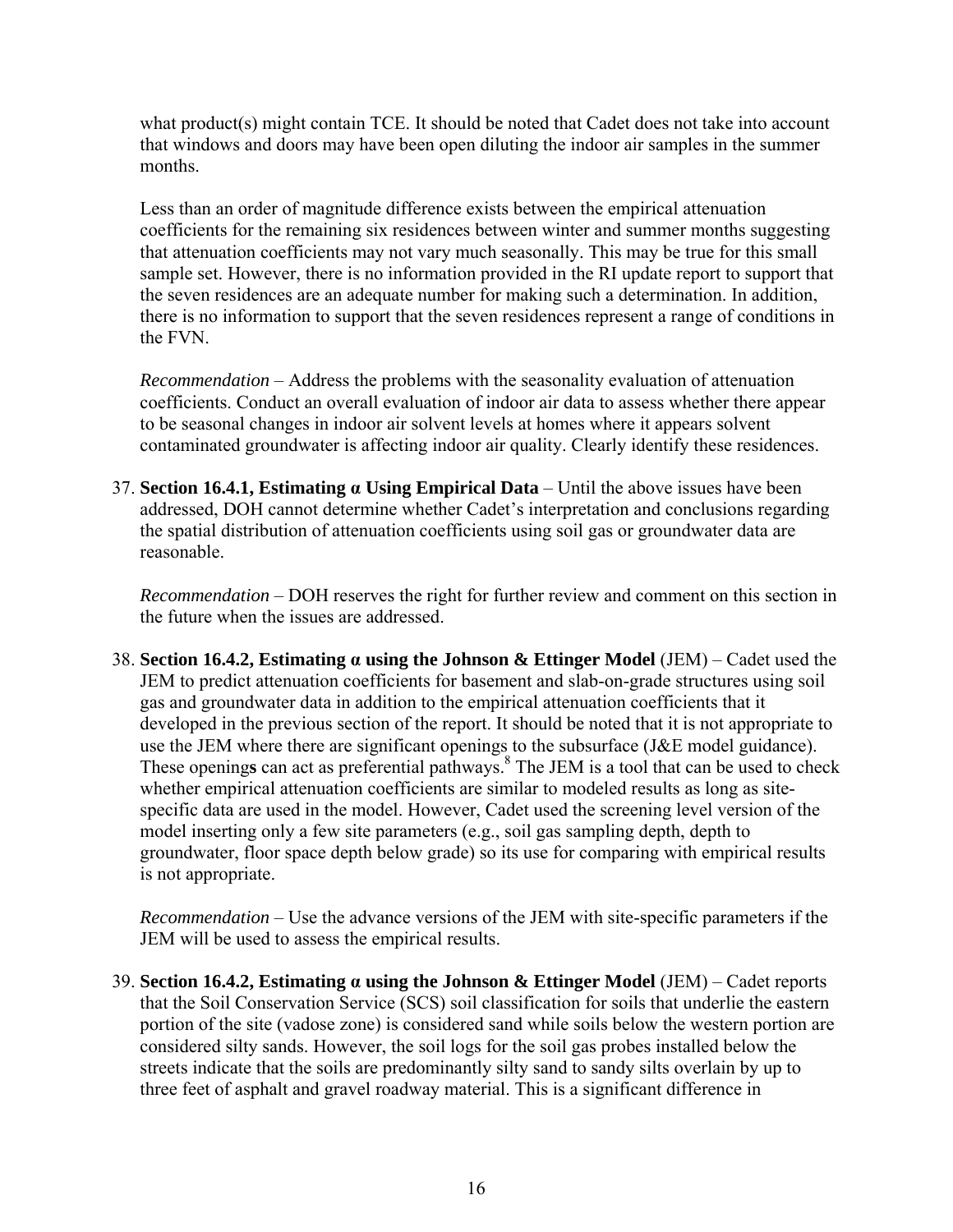what product(s) might contain TCE. It should be noted that Cadet does not take into account that windows and doors may have been open diluting the indoor air samples in the summer months.

Less than an order of magnitude difference exists between the empirical attenuation coefficients for the remaining six residences between winter and summer months suggesting that attenuation coefficients may not vary much seasonally. This may be true for this small sample set. However, there is no information provided in the RI update report to support that the seven residences are an adequate number for making such a determination. In addition, there is no information to support that the seven residences represent a range of conditions in the FVN.

*Recommendation* – Address the problems with the seasonality evaluation of attenuation coefficients. Conduct an overall evaluation of indoor air data to assess whether there appear to be seasonal changes in indoor air solvent levels at homes where it appears solvent contaminated groundwater is affecting indoor air quality. Clearly identify these residences.

37. **Section 16.4.1, Estimating α Using Empirical Data** – Until the above issues have been addressed, DOH cannot determine whether Cadet's interpretation and conclusions regarding the spatial distribution of attenuation coefficients using soil gas or groundwater data are reasonable.

*Recommendation* – DOH reserves the right for further review and comment on this section in the future when the issues are addressed.

38. **Section 16.4.2, Estimating α using the Johnson & Ettinger Model** (JEM) – Cadet used the JEM to predict attenuation coefficients for basement and slab-on-grade structures using soil gas and groundwater data in addition to the empirical attenuation coefficients that it developed in the previous section of the report. It should be noted that it is not appropriate to use the JEM where there are significant openings to the subsurface (J&E model guidance). These openings can act as preferential pathways.<sup>8</sup> The JEM is a tool that can be used to check whether empirical attenuation coefficients are similar to modeled results as long as sitespecific data are used in the model. However, Cadet used the screening level version of the model inserting only a few site parameters (e.g., soil gas sampling depth, depth to groundwater, floor space depth below grade) so its use for comparing with empirical results is not appropriate.

*Recommendation* – Use the advance versions of the JEM with site-specific parameters if the JEM will be used to assess the empirical results.

39. **Section 16.4.2, Estimating α using the Johnson & Ettinger Model** (JEM) – Cadet reports that the Soil Conservation Service (SCS) soil classification for soils that underlie the eastern portion of the site (vadose zone) is considered sand while soils below the western portion are considered silty sands. However, the soil logs for the soil gas probes installed below the streets indicate that the soils are predominantly silty sand to sandy silts overlain by up to three feet of asphalt and gravel roadway material. This is a significant difference in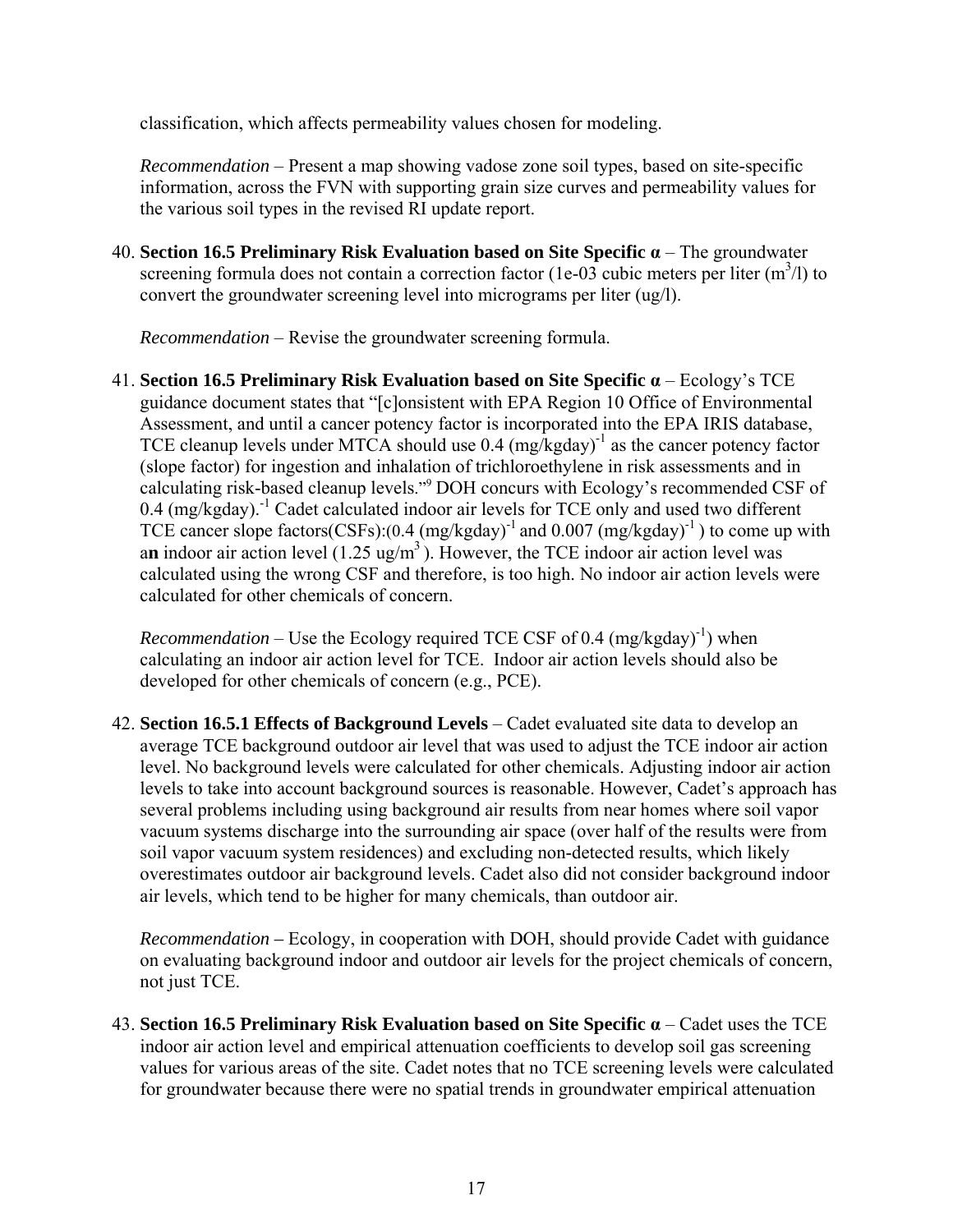classification, which affects permeability values chosen for modeling.

*Recommendation* – Present a map showing vadose zone soil types, based on site-specific information, across the FVN with supporting grain size curves and permeability values for the various soil types in the revised RI update report.

40. **Section 16.5 Preliminary Risk Evaluation based on Site Specific α** – The groundwater screening formula does not contain a correction factor (1e-03 cubic meters per liter  $(m^3/l)$  to convert the groundwater screening level into micrograms per liter (ug/l).

*Recommendation* – Revise the groundwater screening formula.

41. **Section 16.5 Preliminary Risk Evaluation based on Site Specific α** – Ecology's TCE guidance document states that "[c]onsistent with EPA Region 10 Office of Environmental Assessment, and until a cancer potency factor is incorporated into the EPA IRIS database, TCE cleanup levels under MTCA should use  $0.4 \frac{(mg/kgday)}{1}$  as the cancer potency factor (slope factor) for ingestion and inhalation of trichloroethylene in risk assessments and in calculating risk-based cleanup levels."9 DOH concurs with Ecology's recommended CSF of  $0.4$  (mg/kgday).<sup>-1</sup> Cadet calculated indoor air levels for TCE only and used two different TCE cancer slope factors(CSFs): $(0.4 \text{ (mg/kgday)}^{-1}$  and  $0.007 \text{ (mg/kgday)}^{-1})$  to come up with an indoor air action level  $(1.25 \text{ ug/m}^3)$ . However, the TCE indoor air action level was calculated using the wrong CSF and therefore, is too high. No indoor air action levels were calculated for other chemicals of concern.

*Recommendation* – Use the Ecology required TCE CSF of 0.4  $(mg/kgday)^{-1}$ ) when calculating an indoor air action level for TCE. Indoor air action levels should also be developed for other chemicals of concern (e.g., PCE).

42. **Section 16.5.1 Effects of Background Levels** – Cadet evaluated site data to develop an average TCE background outdoor air level that was used to adjust the TCE indoor air action level. No background levels were calculated for other chemicals. Adjusting indoor air action levels to take into account background sources is reasonable. However, Cadet's approach has several problems including using background air results from near homes where soil vapor vacuum systems discharge into the surrounding air space (over half of the results were from soil vapor vacuum system residences) and excluding non-detected results, which likely overestimates outdoor air background levels. Cadet also did not consider background indoor air levels, which tend to be higher for many chemicals, than outdoor air.

*Recommendation –* Ecology, in cooperation with DOH, should provide Cadet with guidance on evaluating background indoor and outdoor air levels for the project chemicals of concern, not just TCE.

43. **Section 16.5 Preliminary Risk Evaluation based on Site Specific α** – Cadet uses the TCE indoor air action level and empirical attenuation coefficients to develop soil gas screening values for various areas of the site. Cadet notes that no TCE screening levels were calculated for groundwater because there were no spatial trends in groundwater empirical attenuation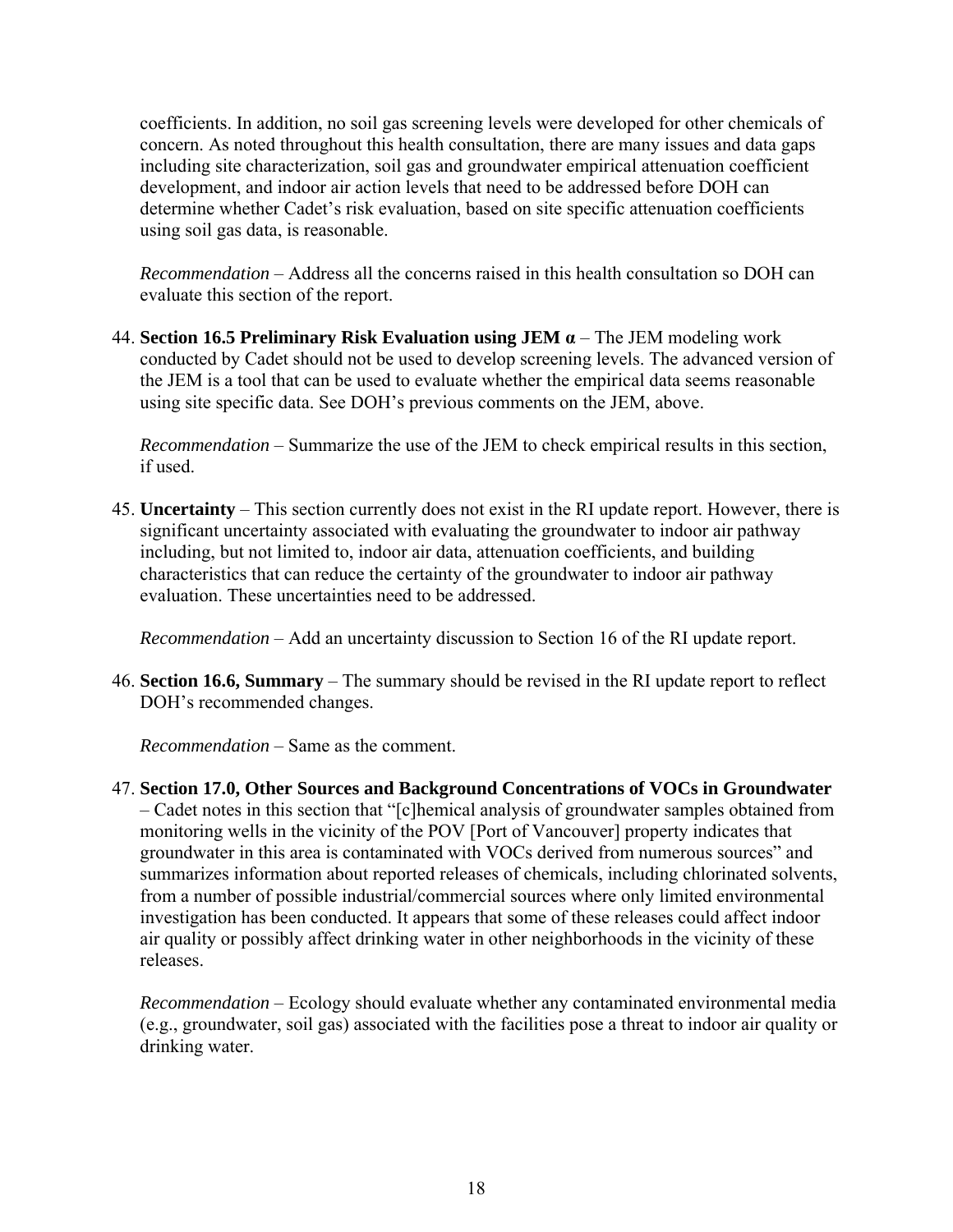coefficients. In addition, no soil gas screening levels were developed for other chemicals of concern. As noted throughout this health consultation, there are many issues and data gaps including site characterization, soil gas and groundwater empirical attenuation coefficient development, and indoor air action levels that need to be addressed before DOH can determine whether Cadet's risk evaluation, based on site specific attenuation coefficients using soil gas data, is reasonable.

*Recommendation* – Address all the concerns raised in this health consultation so DOH can evaluate this section of the report.

44. **Section 16.5 Preliminary Risk Evaluation using JEM α** – The JEM modeling work conducted by Cadet should not be used to develop screening levels. The advanced version of the JEM is a tool that can be used to evaluate whether the empirical data seems reasonable using site specific data. See DOH's previous comments on the JEM, above.

*Recommendation* – Summarize the use of the JEM to check empirical results in this section, if used.

45. **Uncertainty** – This section currently does not exist in the RI update report. However, there is significant uncertainty associated with evaluating the groundwater to indoor air pathway including, but not limited to, indoor air data, attenuation coefficients, and building characteristics that can reduce the certainty of the groundwater to indoor air pathway evaluation. These uncertainties need to be addressed.

*Recommendation* – Add an uncertainty discussion to Section 16 of the RI update report.

46. **Section 16.6, Summary** – The summary should be revised in the RI update report to reflect DOH's recommended changes.

*Recommendation* – Same as the comment.

47. **Section 17.0, Other Sources and Background Concentrations of VOCs in Groundwater** – Cadet notes in this section that "[c]hemical analysis of groundwater samples obtained from monitoring wells in the vicinity of the POV [Port of Vancouver] property indicates that groundwater in this area is contaminated with VOCs derived from numerous sources" and summarizes information about reported releases of chemicals, including chlorinated solvents, from a number of possible industrial/commercial sources where only limited environmental investigation has been conducted. It appears that some of these releases could affect indoor air quality or possibly affect drinking water in other neighborhoods in the vicinity of these releases.

*Recommendation* – Ecology should evaluate whether any contaminated environmental media (e.g., groundwater, soil gas) associated with the facilities pose a threat to indoor air quality or drinking water.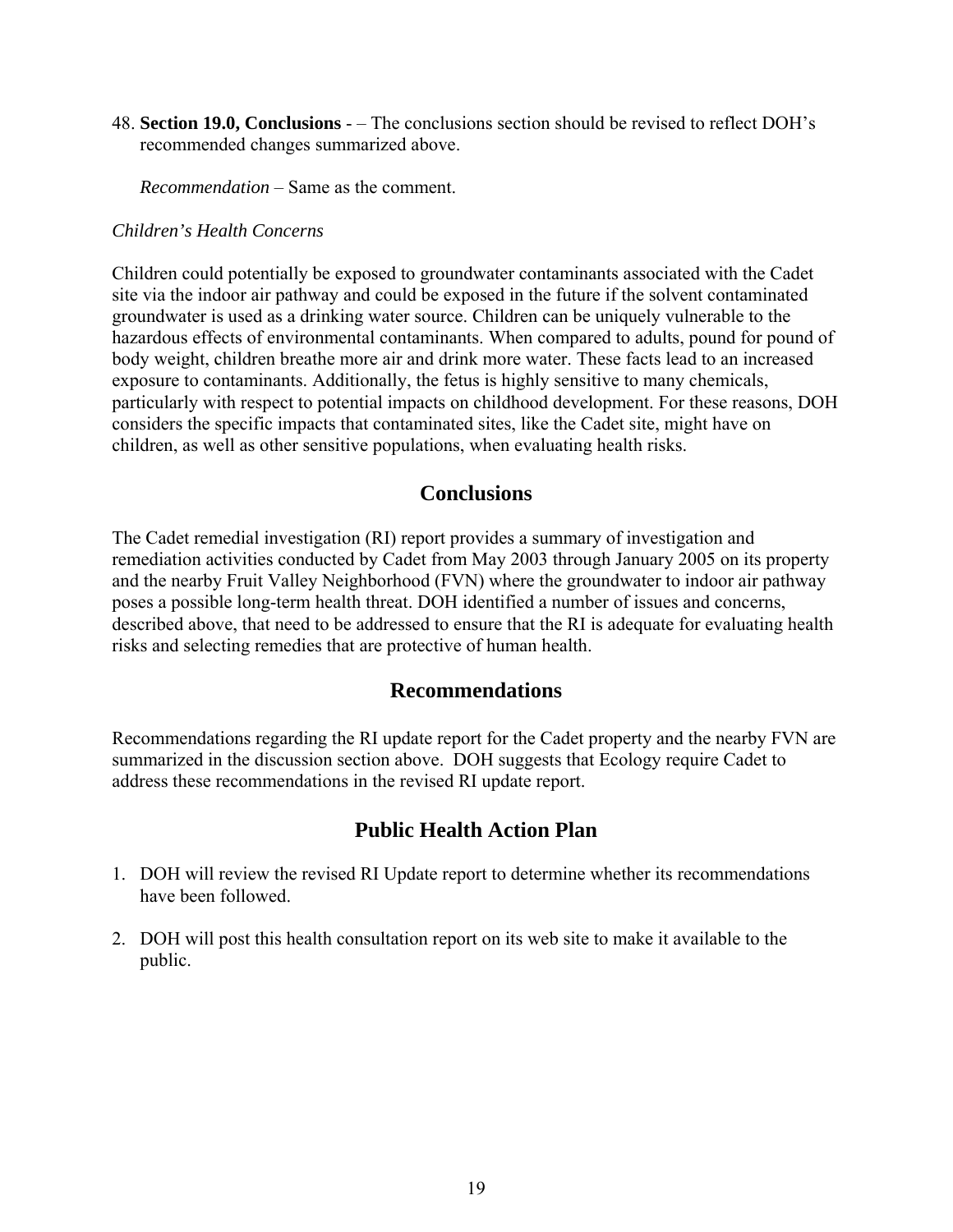48. **Section 19.0, Conclusions** - – The conclusions section should be revised to reflect DOH's recommended changes summarized above.

*Recommendation* – Same as the comment.

#### *Children's Health Concerns*

Children could potentially be exposed to groundwater contaminants associated with the Cadet site via the indoor air pathway and could be exposed in the future if the solvent contaminated groundwater is used as a drinking water source. Children can be uniquely vulnerable to the hazardous effects of environmental contaminants. When compared to adults, pound for pound of body weight, children breathe more air and drink more water. These facts lead to an increased exposure to contaminants. Additionally, the fetus is highly sensitive to many chemicals, particularly with respect to potential impacts on childhood development. For these reasons, DOH considers the specific impacts that contaminated sites, like the Cadet site, might have on children, as well as other sensitive populations, when evaluating health risks.

### **Conclusions**

The Cadet remedial investigation (RI) report provides a summary of investigation and remediation activities conducted by Cadet from May 2003 through January 2005 on its property and the nearby Fruit Valley Neighborhood (FVN) where the groundwater to indoor air pathway poses a possible long-term health threat. DOH identified a number of issues and concerns, described above, that need to be addressed to ensure that the RI is adequate for evaluating health risks and selecting remedies that are protective of human health.

#### **Recommendations**

Recommendations regarding the RI update report for the Cadet property and the nearby FVN are summarized in the discussion section above. DOH suggests that Ecology require Cadet to address these recommendations in the revised RI update report.

#### **Public Health Action Plan**

- 1. DOH will review the revised RI Update report to determine whether its recommendations have been followed.
- 2. DOH will post this health consultation report on its web site to make it available to the public.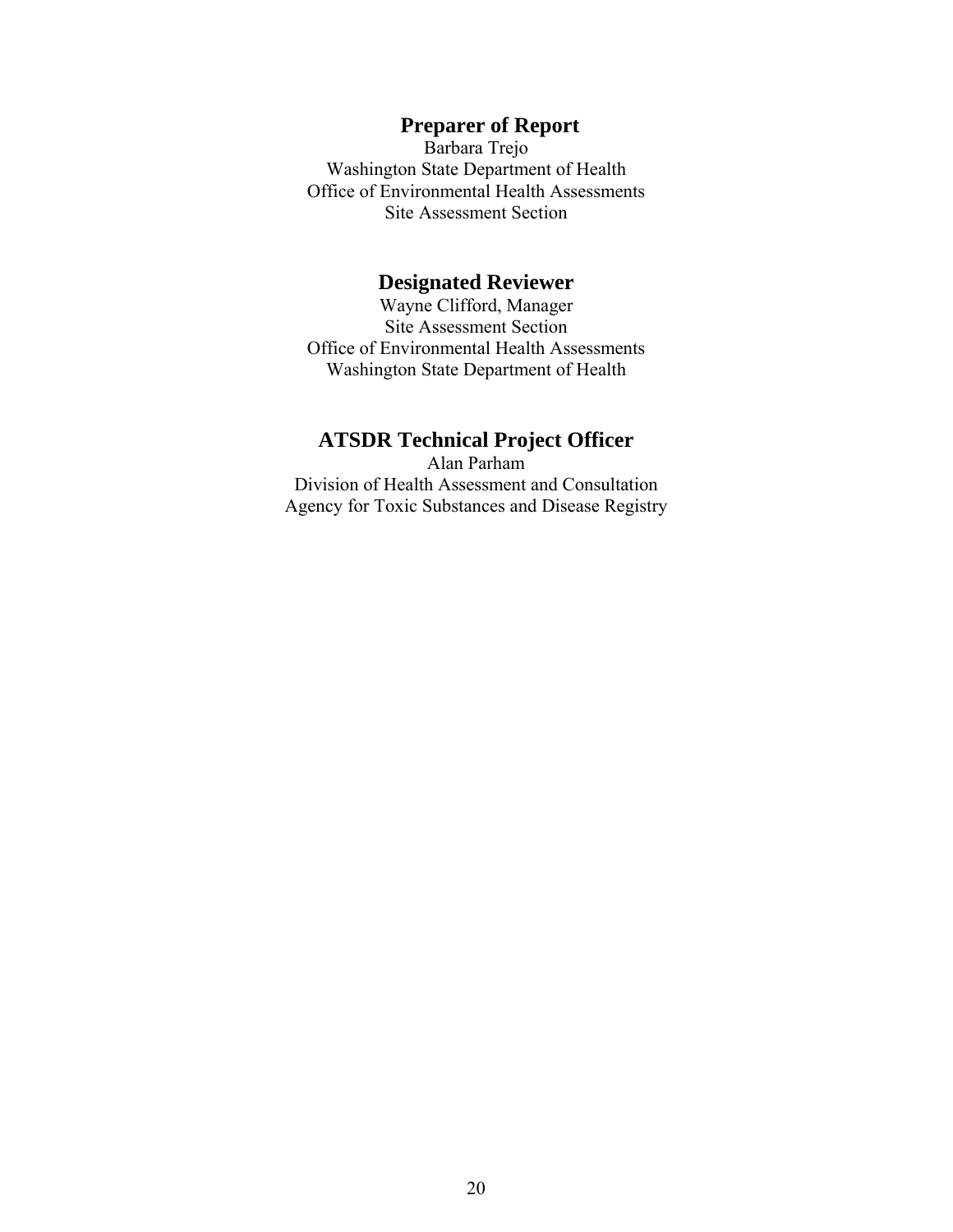## **Preparer of Report**

Barbara Trejo Washington State Department of Health Office of Environmental Health Assessments Site Assessment Section

### **Designated Reviewer**

Wayne Clifford, Manager Site Assessment Section Office of Environmental Health Assessments Washington State Department of Health

## **ATSDR Technical Project Officer**

Alan Parham Division of Health Assessment and Consultation Agency for Toxic Substances and Disease Registry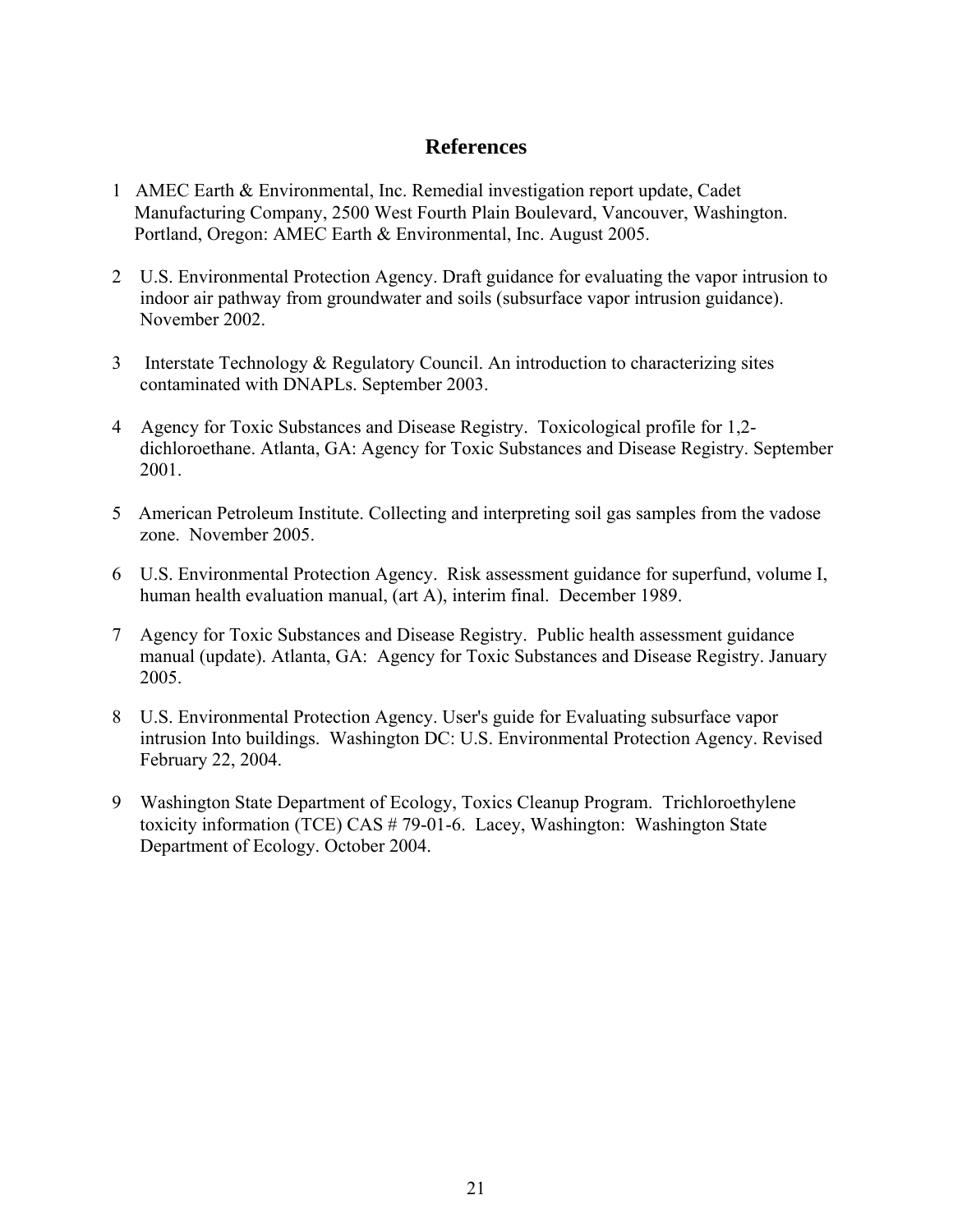## **References**

- 1 AMEC Earth & Environmental, Inc. Remedial investigation report update, Cadet Manufacturing Company, 2500 West Fourth Plain Boulevard, Vancouver, Washington. Portland, Oregon: AMEC Earth & Environmental, Inc. August 2005.
- 2 U.S. Environmental Protection Agency. Draft guidance for evaluating the vapor intrusion to indoor air pathway from groundwater and soils (subsurface vapor intrusion guidance). November 2002.
- 3 Interstate Technology & Regulatory Council. An introduction to characterizing sites contaminated with DNAPLs. September 2003.
- 4 Agency for Toxic Substances and Disease Registry. Toxicological profile for 1,2 dichloroethane. Atlanta, GA: Agency for Toxic Substances and Disease Registry. September 2001.
- 5 American Petroleum Institute. Collecting and interpreting soil gas samples from the vadose zone. November 2005.
- 6 U.S. Environmental Protection Agency. Risk assessment guidance for superfund, volume I, human health evaluation manual, (art A), interim final. December 1989.
- 7 Agency for Toxic Substances and Disease Registry. Public health assessment guidance manual (update). Atlanta, GA: Agency for Toxic Substances and Disease Registry. January 2005.
- 8 U.S. Environmental Protection Agency. User's guide for Evaluating subsurface vapor intrusion Into buildings. Washington DC: U.S. Environmental Protection Agency. Revised February 22, 2004.
- 9 Washington State Department of Ecology, Toxics Cleanup Program. Trichloroethylene toxicity information (TCE) CAS # 79-01-6. Lacey, Washington: Washington State Department of Ecology. October 2004.